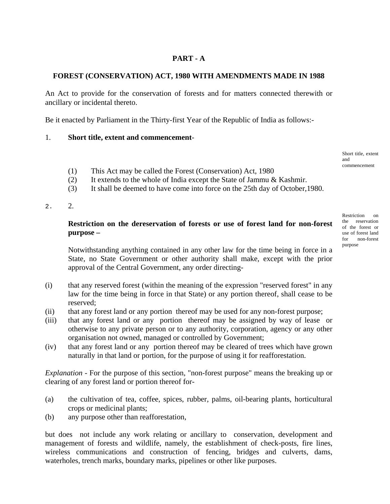## **PART - A**

### **FOREST (CONSERVATION) ACT, 1980 WITH AMENDMENTS MADE IN 1988**

An Act to provide for the conservation of forests and for matters connected therewith or ancillary or incidental thereto.

Be it enacted by Parliament in the Thirty-first Year of the Republic of India as follows:-

### 1. **Short title, extent and commencement**-

- (1) This Act may be called the Forest (Conservation) Act, 1980
- (2) It extends to the whole of India except the State of Jammu & Kashmir.
- (3) It shall be deemed to have come into force on the 25th day of October,1980.
- 2. 2.

### Restriction on the dereservation of forests or use of forest land for non-forest **purpose –**

Restriction on the reservation of the forest or use of forest land for non-forest purpose

Short title, extent

commencement

and

Notwithstanding anything contained in any other law for the time being in force in a State, no State Government or other authority shall make, except with the prior approval of the Central Government, any order directing-

- (i) that any reserved forest (within the meaning of the expression "reserved forest" in any law for the time being in force in that State) or any portion thereof, shall cease to be reserved;
- (ii) that any forest land or any portion thereof may be used for any non-forest purpose;
- (iii) that any forest land or any portion thereof may be assigned by way of lease or otherwise to any private person or to any authority, corporation, agency or any other organisation not owned, managed or controlled by Government;
- (iv) that any forest land or any portion thereof may be cleared of trees which have grown naturally in that land or portion, for the purpose of using it for reafforestation.

*Explanation* - For the purpose of this section, "non-forest purpose" means the breaking up or clearing of any forest land or portion thereof for-

- (a) the cultivation of tea, coffee, spices, rubber, palms, oil-bearing plants, horticultural crops or medicinal plants;
- (b) any purpose other than reafforestation,

but does not include any work relating or ancillary to conservation, development and management of forests and wildlife, namely, the establishment of check-posts, fire lines, wireless communications and construction of fencing, bridges and culverts, dams, waterholes, trench marks, boundary marks, pipelines or other like purposes.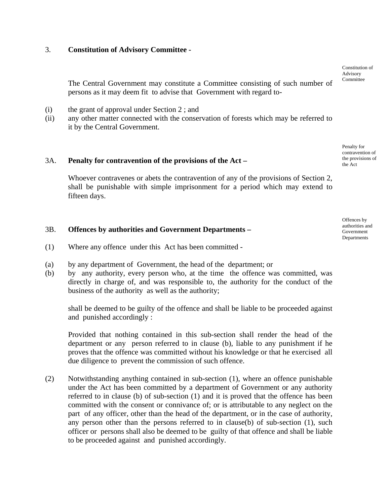### 3. **Constitution of Advisory Committee -**

The Central Government may constitute a Committee consisting of such number of persons as it may deem fit to advise that Government with regard to-

- (i) the grant of approval under Section 2 ; and
- (ii) any other matter connected with the conservation of forests which may be referred to it by the Central Government.

### 3A. **Penalty for contravention of the provisions of the Act –**

Whoever contravenes or abets the contravention of any of the provisions of Section 2, shall be punishable with simple imprisonment for a period which may extend to fifteen days.

## 3B. **Offences by authorities and Government Departments –**

- (1) Where any offence under this Act has been committed -
- (a) by any department of Government, the head of the department; or
- (b) by any authority, every person who, at the time the offence was committed, was directly in charge of, and was responsible to, the authority for the conduct of the business of the authority as well as the authority;

shall be deemed to be guilty of the offence and shall be liable to be proceeded against and punished accordingly :

Provided that nothing contained in this sub-section shall render the head of the department or any person referred to in clause (b), liable to any punishment if he proves that the offence was committed without his knowledge or that he exercised all due diligence to prevent the commission of such offence.

(2) Notwithstanding anything contained in sub-section (1), where an offence punishable under the Act has been committed by a department of Government or any authority referred to in clause (b) of sub-section (1) and it is proved that the offence has been committed with the consent or connivance of; or is attributable to any neglect on the part of any officer, other than the head of the department, or in the case of authority, any person other than the persons referred to in clause(b) of sub-section (1), such officer or persons shall also be deemed to be guilty of that offence and shall be liable to be proceeded against and punished accordingly.

Constitution of Advisory **Committee** 

Penalty for contravention of the provisions of the Act

Offences by authorities and Government Departments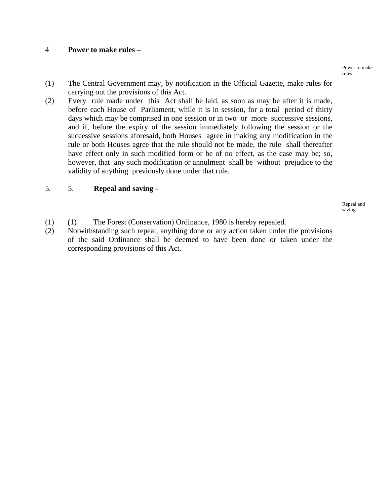### 4 **Power to make rules –**

- (1) The Central Government may, by notification in the Official Gazette, make rules for carrying out the provisions of this Act.
- (2) Every rule made under this Act shall be laid, as soon as may be after it is made, before each House of Parliament, while it is in session, for a total period of thirty days which may be comprised in one session or in two or more successive sessions, and if, before the expiry of the session immediately following the session or the successive sessions aforesaid, both Houses agree in making any modification in the rule or both Houses agree that the rule should not be made, the rule shall thereafter have effect only in such modified form or be of no effect, as the case may be; so, however, that any such modification or annulment shall be without prejudice to the validity of anything previously done under that rule.

# 5. 5. **Repeal and saving –**

Repeal and saving

- (1) (1) The Forest (Conservation) Ordinance, 1980 is hereby repealed.
- (2) Notwithstanding such repeal, anything done or any action taken under the provisions of the said Ordinance shall be deemed to have been done or taken under the corresponding provisions of this Act.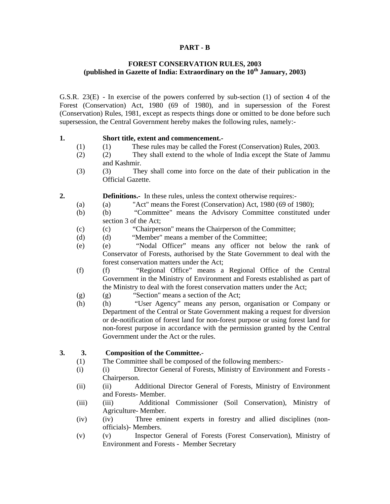### **PART - B**

### **FOREST CONSERVATION RULES, 2003**  (published in Gazette of India: Extraordinary on the 10<sup>th</sup> January, 2003)

G.S.R. 23(E) - In exercise of the powers conferred by sub-section (1) of section 4 of the Forest (Conservation) Act, 1980 (69 of 1980), and in supersession of the Forest (Conservation) Rules, 1981, except as respects things done or omitted to be done before such supersession, the Central Government hereby makes the following rules, namely:-

### **1. Short title, extent and commencement.-**

- (1) (1) These rules may be called the Forest (Conservation) Rules, 2003.
- (2) (2) They shall extend to the whole of India except the State of Jammu and Kashmir.
- (3) (3) They shall come into force on the date of their publication in the Official Gazette.

**2. Definitions.-** In these rules, unless the context otherwise requires:-

- (a) (a) "Act" means the Forest (Conservation) Act,  $1980(69 \text{ of } 1980)$ ;
- (b) (b) "Committee" means the Advisory Committee constituted under section 3 of the Act;
- (c) (c) "Chairperson" means the Chairperson of the Committee;
- (d) (d) "Member" means a member of the Committee;
- (e) (e) "Nodal Officer" means any officer not below the rank of Conservator of Forests, authorised by the State Government to deal with the forest conservation matters under the Act;
- (f) (f) "Regional Office" means a Regional Office of the Central Government in the Ministry of Environment and Forests established as part of the Ministry to deal with the forest conservation matters under the Act;
- (g) (g) "Section" means a section of the Act;
- (h) (h) "User Agency" means any person, organisation or Company or Department of the Central or State Government making a request for diversion or de-notification of forest land for non-forest purpose or using forest land for non-forest purpose in accordance with the permission granted by the Central Government under the Act or the rules.

#### **3. 3. Composition of the Committee.**-

- (1) The Committee shall be composed of the following members:-
- (i) (i) Director General of Forests, Ministry of Environment and Forests Chairperson.
- (ii) (ii) Additional Director General of Forests, Ministry of Environment and Forests- Member.
- (iii) (iii) Additional Commissioner (Soil Conservation), Ministry of Agriculture- Member.
- (iv) (iv) Three eminent experts in forestry and allied disciplines (nonofficials)- Members.
- (v) (v) Inspector General of Forests (Forest Conservation), Ministry of Environment and Forests - Member Secretary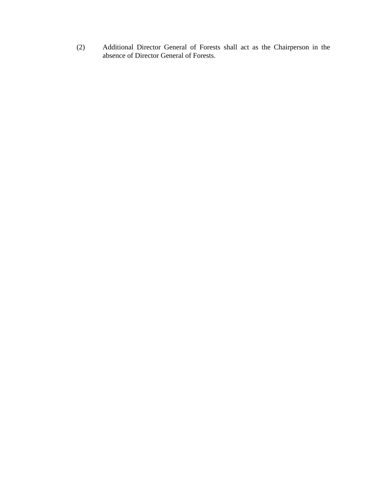(2) Additional Director General of Forests shall act as the Chairperson in the absence of Director General of Forests.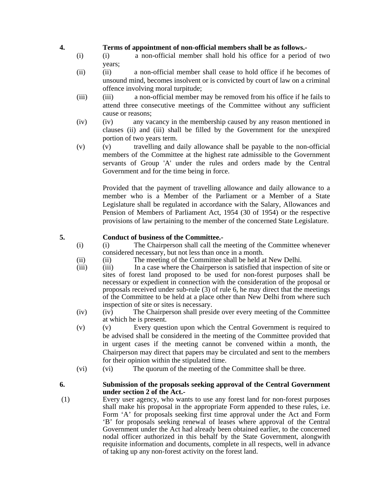### **4. Terms of appointment of non-official members shall be as follows.-**

- (i) (i) a non-official member shall hold his office for a period of two years;
- (ii) (ii) a non-official member shall cease to hold office if he becomes of unsound mind, becomes insolvent or is convicted by court of law on a criminal offence involving moral turpitude;
- (iii) (iii) a non-official member may be removed from his office if he fails to attend three consecutive meetings of the Committee without any sufficient cause or reasons;
- (iv) (iv) any vacancy in the membership caused by any reason mentioned in clauses (ii) and (iii) shall be filled by the Government for the unexpired portion of two years term.
- (v) (v) travelling and daily allowance shall be payable to the non-official members of the Committee at the highest rate admissible to the Government servants of Group 'A' under the rules and orders made by the Central Government and for the time being in force.

Provided that the payment of travelling allowance and daily allowance to a member who is a Member of the Parliament or a Member of a State Legislature shall be regulated in accordance with the Salary, Allowances and Pension of Members of Parliament Act, 1954 (30 of 1954) or the respective provisions of law pertaining to the member of the concerned State Legislature.

### **5. Conduct of business of the Committee.-**

- (i) (i) The Chairperson shall call the meeting of the Committee whenever considered necessary, but not less than once in a month.
- (ii) (ii) The meeting of the Committee shall be held at New Delhi.
- (iii) (iii) In a case where the Chairperson is satisfied that inspection of site or sites of forest land proposed to be used for non-forest purposes shall be necessary or expedient in connection with the consideration of the proposal or proposals received under sub-rule (3) of rule 6, he may direct that the meetings of the Committee to be held at a place other than New Delhi from where such inspection of site or sites is necessary.
- (iv) (iv) The Chairperson shall preside over every meeting of the Committee at which he is present.
- (v) (v) Every question upon which the Central Government is required to be advised shall be considered in the meeting of the Committee provided that in urgent cases if the meeting cannot be convened within a month, the Chairperson may direct that papers may be circulated and sent to the members for their opinion within the stipulated time.
- (vi) (vi) The quorum of the meeting of the Committee shall be three.

#### **6. Submission of the proposals seeking approval of the Central Government under section 2 of the Act.-**

 (1) Every user agency, who wants to use any forest land for non-forest purposes shall make his proposal in the appropriate Form appended to these rules, i.e. Form 'A' for proposals seeking first time approval under the Act and Form 'B' for proposals seeking renewal of leases where approval of the Central Government under the Act had already been obtained earlier, to the concerned nodal officer authorized in this behalf by the State Government, alongwith requisite information and documents, complete in all respects, well in advance of taking up any non-forest activity on the forest land.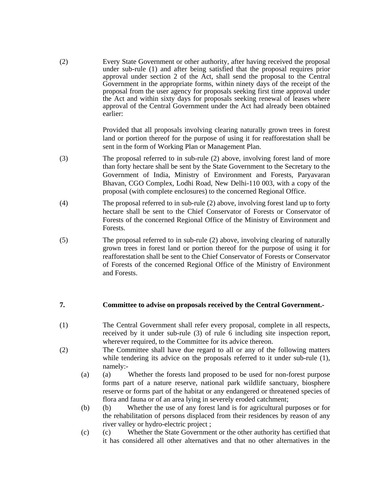(2) Every State Government or other authority, after having received the proposal under sub-rule (1) and after being satisfied that the proposal requires prior approval under section 2 of the Act, shall send the proposal to the Central Government in the appropriate forms, within ninety days of the receipt of the proposal from the user agency for proposals seeking first time approval under the Act and within sixty days for proposals seeking renewal of leases where approval of the Central Government under the Act had already been obtained earlier:

> Provided that all proposals involving clearing naturally grown trees in forest land or portion thereof for the purpose of using it for reafforestation shall be sent in the form of Working Plan or Management Plan.

- (3) The proposal referred to in sub-rule (2) above, involving forest land of more than forty hectare shall be sent by the State Government to the Secretary to the Government of India, Ministry of Environment and Forests, Paryavaran Bhavan, CGO Complex, Lodhi Road, New Delhi-110 003, with a copy of the proposal (with complete enclosures) to the concerned Regional Office.
- (4) The proposal referred to in sub-rule (2) above, involving forest land up to forty hectare shall be sent to the Chief Conservator of Forests or Conservator of Forests of the concerned Regional Office of the Ministry of Environment and Forests.
- (5) The proposal referred to in sub-rule (2) above, involving clearing of naturally grown trees in forest land or portion thereof for the purpose of using it for reafforestation shall be sent to the Chief Conservator of Forests or Conservator of Forests of the concerned Regional Office of the Ministry of Environment and Forests.

#### **7. Committee to advise on proposals received by the Central Government.-**

- (1) The Central Government shall refer every proposal, complete in all respects, received by it under sub-rule (3) of rule 6 including site inspection report, wherever required, to the Committee for its advice thereon.
- (2) The Committee shall have due regard to all or any of the following matters while tendering its advice on the proposals referred to it under sub-rule (1), namely:-
	- (a) (a) Whether the forests land proposed to be used for non-forest purpose forms part of a nature reserve, national park wildlife sanctuary, biosphere reserve or forms part of the habitat or any endangered or threatened species of flora and fauna or of an area lying in severely eroded catchment;
	- (b) (b) Whether the use of any forest land is for agricultural purposes or for the rehabilitation of persons displaced from their residences by reason of any river valley or hydro-electric project ;
	- (c) (c) Whether the State Government or the other authority has certified that it has considered all other alternatives and that no other alternatives in the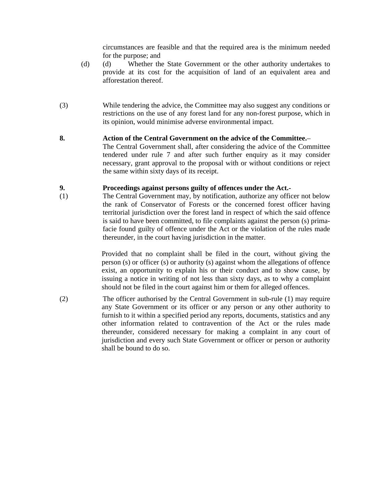circumstances are feasible and that the required area is the minimum needed for the purpose; and

- (d) (d) Whether the State Government or the other authority undertakes to provide at its cost for the acquisition of land of an equivalent area and afforestation thereof.
- (3) While tendering the advice, the Committee may also suggest any conditions or restrictions on the use of any forest land for any non-forest purpose, which in its opinion, would minimise adverse environmental impact.

### **8. Action of the Central Government on the advice of the Committee.**–

The Central Government shall, after considering the advice of the Committee tendered under rule 7 and after such further enquiry as it may consider necessary, grant approval to the proposal with or without conditions or reject the same within sixty days of its receipt.

### **9. Proceedings against persons guilty of offences under the Act.-**

(1) The Central Government may, by notification, authorize any officer not below the rank of Conservator of Forests or the concerned forest officer having territorial jurisdiction over the forest land in respect of which the said offence is said to have been committed, to file complaints against the person (s) primafacie found guilty of offence under the Act or the violation of the rules made thereunder, in the court having jurisdiction in the matter.

> Provided that no complaint shall be filed in the court, without giving the person (s) or officer (s) or authority (s) against whom the allegations of offence exist, an opportunity to explain his or their conduct and to show cause, by issuing a notice in writing of not less than sixty days, as to why a complaint should not be filed in the court against him or them for alleged offences.

(2) The officer authorised by the Central Government in sub-rule (1) may require any State Government or its officer or any person or any other authority to furnish to it within a specified period any reports, documents, statistics and any other information related to contravention of the Act or the rules made thereunder, considered necessary for making a complaint in any court of jurisdiction and every such State Government or officer or person or authority shall be bound to do so.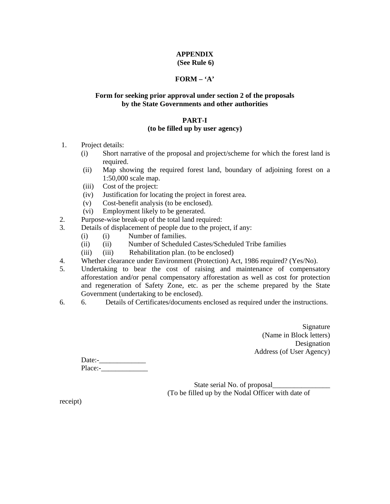# **APPENDIX**

# **(See Rule 6)**

### **FORM – 'A'**

### **Form for seeking prior approval under section 2 of the proposals by the State Governments and other authorities**

### **PART-I**

#### **(to be filled up by user agency)**

- 1. Project details:
	- (i) Short narrative of the proposal and project/scheme for which the forest land is required.
	- (ii) Map showing the required forest land, boundary of adjoining forest on a 1:50,000 scale map.
	- (iii) Cost of the project:
	- (iv) Justification for locating the project in forest area.
	- (v) Cost-benefit analysis (to be enclosed).
	- (vi) Employment likely to be generated.
- 2. Purpose-wise break-up of the total land required:
- 3. Details of displacement of people due to the project, if any:
	- (i) (i) Number of families.
	- (ii) (ii) Number of Scheduled Castes/Scheduled Tribe families
	- (iii) (iii) Rehabilitation plan. (to be enclosed)
- 4. Whether clearance under Environment (Protection) Act, 1986 required? (Yes/No).
- 5. Undertaking to bear the cost of raising and maintenance of compensatory afforestation and/or penal compensatory afforestation as well as cost for protection and regeneration of Safety Zone, etc. as per the scheme prepared by the State Government (undertaking to be enclosed).
- 6. 6. Details of Certificates/documents enclosed as required under the instructions.

Signature (Name in Block letters) Designation Address (of User Agency)

Date:-\_\_\_\_\_\_\_\_\_\_\_\_\_ Place:-

> State serial No. of proposal\_ (To be filled up by the Nodal Officer with date of

receipt)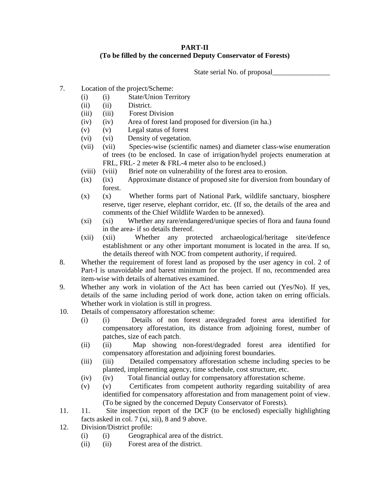### **PART-II (To be filled by the concerned Deputy Conservator of Forests)**

State serial No. of proposal\_\_\_\_\_\_\_\_\_\_\_\_\_\_\_\_

- 7. Location of the project/Scheme:
	- (i) (i) State/Union Territory
	- (ii) (ii) District.
	- (iii) (iii) Forest Division
	- (iv) (iv) Area of forest land proposed for diversion (in ha.)
	- (v) (v) Legal status of forest
	- (vi) (vi) Density of vegetation.
	- (vii) (vii) Species-wise (scientific names) and diameter class-wise enumeration of trees (to be enclosed. In case of irrigation/hydel projects enumeration at FRL, FRL-2 meter & FRL-4 meter also to be enclosed.)
	- (viii) (viii) Brief note on vulnerability of the forest area to erosion.
	- (ix) (ix) Approximate distance of proposed site for diversion from boundary of forest.
	- (x) (x) Whether forms part of National Park, wildlife sanctuary, biosphere reserve, tiger reserve, elephant corridor, etc. (If so, the details of the area and comments of the Chief Wildlife Warden to be annexed).
	- (xi) (xi) Whether any rare/endangered/unique species of flora and fauna found in the area- if so details thereof.
	- (xii) (xii) Whether any protected archaeological/heritage site/defence establishment or any other important monument is located in the area. If so, the details thereof with NOC from competent authority, if required.
- 8. Whether the requirement of forest land as proposed by the user agency in col. 2 of Part-I is unavoidable and barest minimum for the project. If no, recommended area item-wise with details of alternatives examined.
- 9. Whether any work in violation of the Act has been carried out (Yes/No). If yes, details of the same including period of work done, action taken on erring officials. Whether work in violation is still in progress.
- 10. Details of compensatory afforestation scheme:
	- (i) (i) Details of non forest area/degraded forest area identified for compensatory afforestation, its distance from adjoining forest, number of patches, size of each patch.
	- (ii) (ii) Map showing non-forest/degraded forest area identified for compensatory afforestation and adjoining forest boundaries.
	- (iii) (iii) Detailed compensatory afforestation scheme including species to be planted, implementing agency, time schedule, cost structure, etc.
	- (iv) (iv) Total financial outlay for compensatory afforestation scheme.
	- (v) (v) Certificates from competent authority regarding suitability of area identified for compensatory afforestation and from management point of view. (To be signed by the concerned Deputy Conservator of Forests).
- 11. 11. Site inspection report of the DCF (to be enclosed) especially highlighting facts asked in col. 7 (xi, xii), 8 and 9 above.
- 12. Division/District profile:
	- (i) (i) Geographical area of the district.
	- (ii) (ii) Forest area of the district.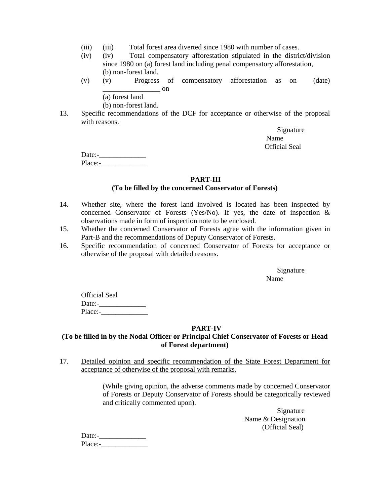- (iii) (iii) Total forest area diverted since 1980 with number of cases.
- (iv) (iv) Total compensatory afforestation stipulated in the district/division since 1980 on (a) forest land including penal compensatory afforestation, (b) non-forest land.
- (v) (v) Progress of compensatory afforestation as on (date) \_\_\_\_\_\_\_\_\_\_\_\_\_\_\_\_ on

(a) forest land

(b) non-forest land.

13. Specific recommendations of the DCF for acceptance or otherwise of the proposal with reasons.

> Signature Name Official Seal

Date:-\_\_\_\_\_\_\_\_\_\_\_\_\_ Place:-\_\_\_\_\_\_\_\_\_\_\_\_\_

#### **PART-III**

#### **(To be filled by the concerned Conservator of Forests)**

- 14. Whether site, where the forest land involved is located has been inspected by concerned Conservator of Forests (Yes/No). If yes, the date of inspection & observations made in form of inspection note to be enclosed.
- 15. Whether the concerned Conservator of Forests agree with the information given in Part-B and the recommendations of Deputy Conservator of Forests.
- 16. Specific recommendation of concerned Conservator of Forests for acceptance or otherwise of the proposal with detailed reasons.

 Signature Name Name

Official Seal Date:-Place:-

#### **PART-IV**

### **(To be filled in by the Nodal Officer or Principal Chief Conservator of Forests or Head of Forest department)**

17. Detailed opinion and specific recommendation of the State Forest Department for acceptance of otherwise of the proposal with remarks.

> (While giving opinion, the adverse comments made by concerned Conservator of Forests or Deputy Conservator of Forests should be categorically reviewed and critically commented upon).

> > Signature Name & Designation (Official Seal)

Date:-\_\_\_\_\_\_\_\_\_\_\_\_\_ Place:-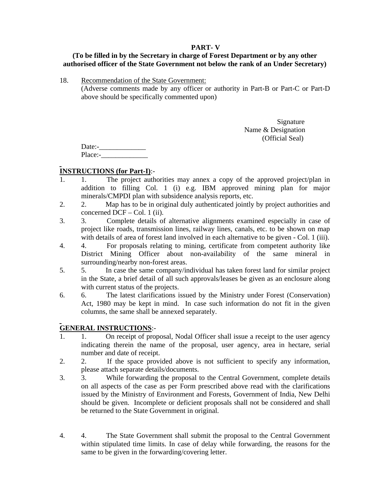### **PART- V**

### **(To be filled in by the Secretary in charge of Forest Department or by any other authorised officer of the State Government not below the rank of an Under Secretary)**

#### 18. Recommendation of the State Government:

(Adverse comments made by any officer or authority in Part-B or Part-C or Part-D above should be specifically commented upon)

> Signature Name & Designation (Official Seal)

Date:-\_\_\_\_\_\_\_\_\_\_\_\_\_ Place:-

### **INSTRUCTIONS (for Part-I)**:-

- 1. The project authorities may annex a copy of the approved project/plan in addition to filling Col. 1 (i) e.g. IBM approved mining plan for major minerals/CMPDI plan with subsidence analysis reports, etc.
- 2. 2. Map has to be in original duly authenticated jointly by project authorities and concerned DCF – Col. 1 (ii).
- 3. 3. Complete details of alternative alignments examined especially in case of project like roads, transmission lines, railway lines, canals, etc. to be shown on map with details of area of forest land involved in each alternative to be given - Col. 1 (iii).
- 4. 4. For proposals relating to mining, certificate from competent authority like District Mining Officer about non-availability of the same mineral in surrounding/nearby non-forest areas.
- 5. 5. In case the same company/individual has taken forest land for similar project in the State, a brief detail of all such approvals/leases be given as an enclosure along with current status of the projects.
- 6. 6. The latest clarifications issued by the Ministry under Forest (Conservation) Act, 1980 may be kept in mind. In case such information do not fit in the given columns, the same shall be annexed separately.

### **GENERAL INSTRUCTIONS**:-

- 1. 1. On receipt of proposal, Nodal Officer shall issue a receipt to the user agency indicating therein the name of the proposal, user agency, area in hectare, serial number and date of receipt.
- 2. 2. If the space provided above is not sufficient to specify any information, please attach separate details/documents.
- 3. 3. While forwarding the proposal to the Central Government, complete details on all aspects of the case as per Form prescribed above read with the clarifications issued by the Ministry of Environment and Forests, Government of India, New Delhi should be given. Incomplete or deficient proposals shall not be considered and shall be returned to the State Government in original.
- 4. 4. The State Government shall submit the proposal to the Central Government within stipulated time limits. In case of delay while forwarding, the reasons for the same to be given in the forwarding/covering letter.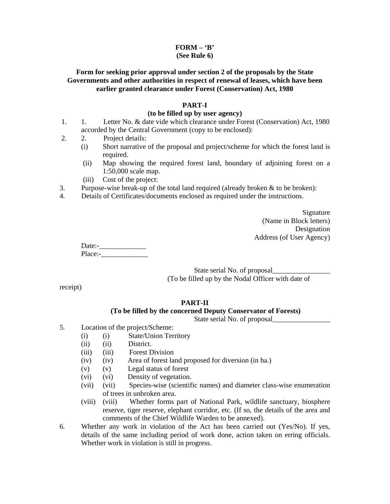# $FORM - 'B'$

### **(See Rule 6)**

### **Form for seeking prior approval under section 2 of the proposals by the State Governments and other authorities in respect of renewal of leases, which have been earlier granted clearance under Forest (Conservation) Act, 1980**

### **PART-I**

# **(to be filled up by user agency)**

- 1. 1. Letter No. & date vide which clearance under Forest (Conservation) Act, 1980 accorded by the Central Government (copy to be enclosed):
- 2. 2. Project details:
	- (i) Short narrative of the proposal and project/scheme for which the forest land is required.
	- (ii) Map showing the required forest land, boundary of adjoining forest on a 1:50,000 scale map.
	- (iii) Cost of the project:
- 3. Purpose-wise break-up of the total land required (already broken & to be broken):
- 4. Details of Certificates/documents enclosed as required under the instructions.

Signature (Name in Block letters) Designation Address (of User Agency)

Date:-\_\_\_\_\_\_\_\_\_\_\_\_\_ Place:-

> State serial No. of proposal\_ (To be filled up by the Nodal Officer with date of

receipt)

### **PART-II**

### **(To be filled by the concerned Deputy Conservator of Forests)**

State serial No. of proposal\_\_\_\_\_\_\_\_\_\_\_\_\_\_\_\_

- 5. Location of the project/Scheme:
	- (i) (i) State/Union Territory
	- (ii) (ii) District.
	- (iii) (iii) Forest Division
	- (iv) (iv) Area of forest land proposed for diversion (in ha.)
	- (v) (v) Legal status of forest
	- (vi) (vi) Density of vegetation.
	- (vii) (vii) Species-wise (scientific names) and diameter class-wise enumeration of trees in unbroken area.
	- (viii) (viii) Whether forms part of National Park, wildlife sanctuary, biosphere reserve, tiger reserve, elephant corridor, etc. (If so, the details of the area and comments of the Chief Wildlife Warden to be annexed).
- 6. Whether any work in violation of the Act has been carried out (Yes/No). If yes, details of the same including period of work done, action taken on erring officials. Whether work in violation is still in progress.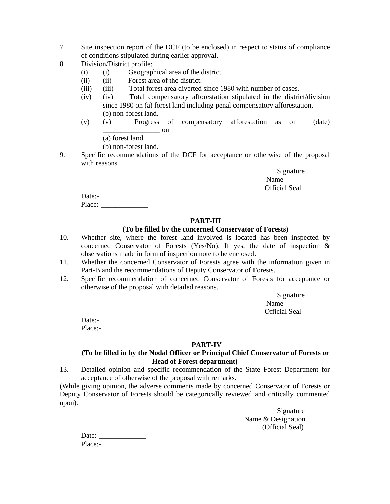- 7. Site inspection report of the DCF (to be enclosed) in respect to status of compliance of conditions stipulated during earlier approval.
- 8. Division/District profile:
	- (i) (i) Geographical area of the district.
	- (ii) (ii) Forest area of the district.
	- (iii) (iii) Total forest area diverted since 1980 with number of cases.
	- (iv) (iv) Total compensatory afforestation stipulated in the district/division since 1980 on (a) forest land including penal compensatory afforestation, (b) non-forest land.
	- (v) (v) Progress of compensatory afforestation as on (date) \_\_\_\_\_\_\_\_\_\_\_\_\_\_\_\_ on
		- (a) forest land

(b) non-forest land.

9. Specific recommendations of the DCF for acceptance or otherwise of the proposal with reasons.

> Signature Name Official Seal

Date:-Place:-\_\_\_\_\_\_\_\_\_\_\_\_\_

### **PART-III**

### **(To be filled by the concerned Conservator of Forests)**

- 10. Whether site, where the forest land involved is located has been inspected by concerned Conservator of Forests (Yes/No). If yes, the date of inspection  $\&$ observations made in form of inspection note to be enclosed.
- 11. Whether the concerned Conservator of Forests agree with the information given in Part-B and the recommendations of Deputy Conservator of Forests.
- 12. Specific recommendation of concerned Conservator of Forests for acceptance or otherwise of the proposal with detailed reasons.

 Signature Name Official Seal

Date:-Place:-\_\_\_\_\_\_\_\_\_\_\_\_\_

#### **PART-IV**

## **(To be filled in by the Nodal Officer or Principal Chief Conservator of Forests or Head of Forest department)**

13. Detailed opinion and specific recommendation of the State Forest Department for acceptance of otherwise of the proposal with remarks.

(While giving opinion, the adverse comments made by concerned Conservator of Forests or Deputy Conservator of Forests should be categorically reviewed and critically commented upon).

> Signature Name & Designation (Official Seal)

Date:-\_\_\_\_\_\_\_\_\_\_\_\_\_ Place:-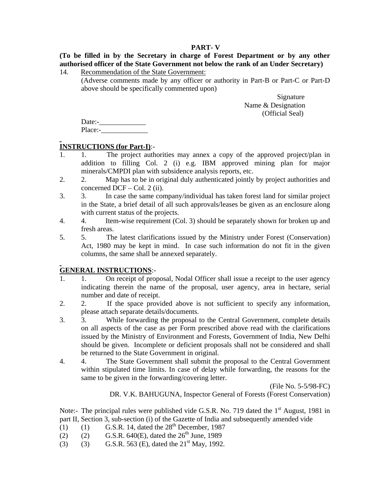### **PART- V**

# **(To be filled in by the Secretary in charge of Forest Department or by any other authorised officer of the State Government not below the rank of an Under Secretary)**

14. Recommendation of the State Government: (Adverse comments made by any officer or authority in Part-B or Part-C or Part-D above should be specifically commented upon)

 Signature Name & Designation (Official Seal)

Date:-\_\_\_\_\_\_\_\_\_\_\_\_\_ Place:-

# **INSTRUCTIONS (for Part-I)**:-

- 1. 1. The project authorities may annex a copy of the approved project/plan in addition to filling Col. 2 (i) e.g. IBM approved mining plan for major minerals/CMPDI plan with subsidence analysis reports, etc.
- 2. 2. Map has to be in original duly authenticated jointly by project authorities and concerned DCF – Col. 2 (ii).
- 3. 3. In case the same company/individual has taken forest land for similar project in the State, a brief detail of all such approvals/leases be given as an enclosure along with current status of the projects.
- 4. 4. Item-wise requirement (Col. 3) should be separately shown for broken up and fresh areas.
- 5. 5. The latest clarifications issued by the Ministry under Forest (Conservation) Act, 1980 may be kept in mind. In case such information do not fit in the given columns, the same shall be annexed separately.

# **GENERAL INSTRUCTIONS**:-

- 1. 1. On receipt of proposal, Nodal Officer shall issue a receipt to the user agency indicating therein the name of the proposal, user agency, area in hectare, serial number and date of receipt.
- 2. 2. If the space provided above is not sufficient to specify any information, please attach separate details/documents.
- 3. 3. While forwarding the proposal to the Central Government, complete details on all aspects of the case as per Form prescribed above read with the clarifications issued by the Ministry of Environment and Forests, Government of India, New Delhi should be given. Incomplete or deficient proposals shall not be considered and shall be returned to the State Government in original.
- 4. 4. The State Government shall submit the proposal to the Central Government within stipulated time limits. In case of delay while forwarding, the reasons for the same to be given in the forwarding/covering letter.

(File No. 5-5/98-FC)

DR. V.K. BAHUGUNA, Inspector General of Forests (Forest Conservation)

Note:- The principal rules were published vide G.S.R. No. 719 dated the 1<sup>st</sup> August, 1981 in part II, Section 3, sub-section (i) of the Gazette of India and subsequently amended vide

- (1) (1) G.S.R. 14, dated the  $28<sup>th</sup>$  December, 1987
- (2) (2) G.S.R. 640(E), dated the  $26^{th}$  June, 1989
- (3) G.S.R. 563 (E), dated the  $21<sup>st</sup>$  May, 1992.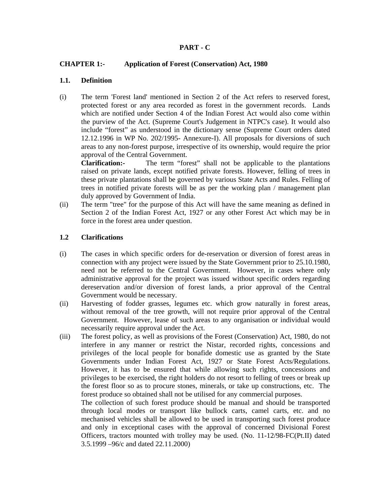### **PART - C**

#### **CHAPTER 1:- Application of Forest (Conservation) Act, 1980**

#### **1.1. Definition**

(i) The term 'Forest land' mentioned in Section 2 of the Act refers to reserved forest, protected forest or any area recorded as forest in the government records. Lands which are notified under Section 4 of the Indian Forest Act would also come within the purview of the Act. (Supreme Court's Judgement in NTPC's case). It would also include "forest" as understood in the dictionary sense (Supreme Court orders dated 12.12.1996 in WP No. 202/1995- Annexure-I). All proposals for diversions of such areas to any non-forest purpose, irrespective of its ownership, would require the prior approval of the Central Government.

**Clarification:-** The term "forest" shall not be applicable to the plantations raised on private lands, except notified private forests. However, felling of trees in these private plantations shall be governed by various State Acts and Rules. Felling of trees in notified private forests will be as per the working plan / management plan duly approved by Government of India.

(ii) The term "tree" for the purpose of this Act will have the same meaning as defined in Section 2 of the Indian Forest Act, 1927 or any other Forest Act which may be in force in the forest area under question.

#### **1.2 Clarifications**

- (i) The cases in which specific orders for de-reservation or diversion of forest areas in connection with any project were issued by the State Government prior to 25.10.1980, need not be referred to the Central Government. However, in cases where only administrative approval for the project was issued without specific orders regarding dereservation and/or diversion of forest lands, a prior approval of the Central Government would be necessary.
- (ii) Harvesting of fodder grasses, legumes etc. which grow naturally in forest areas, without removal of the tree growth, will not require prior approval of the Central Government. However, lease of such areas to any organisation or individual would necessarily require approval under the Act.
- (iii) The forest policy, as well as provisions of the Forest (Conservation) Act, 1980, do not interfere in any manner or restrict the Nistar, recorded rights, concessions and privileges of the local people for bonafide domestic use as granted by the State Governments under Indian Forest Act, 1927 or State Forest Acts/Regulations. However, it has to be ensured that while allowing such rights, concessions and privileges to be exercised, the right holders do not resort to felling of trees or break up the forest floor so as to procure stones, minerals, or take up constructions, etc. The forest produce so obtained shall not be utilised for any commercial purposes.

The collection of such forest produce should be manual and should be transported through local modes or transport like bullock carts, camel carts, etc. and no mechanised vehicles shall be allowed to be used in transporting such forest produce and only in exceptional cases with the approval of concerned Divisional Forest Officers, tractors mounted with trolley may be used. (No. 11-12/98-FC(Pt.II) dated 3.5.1999 –96/c and dated 22.11.2000)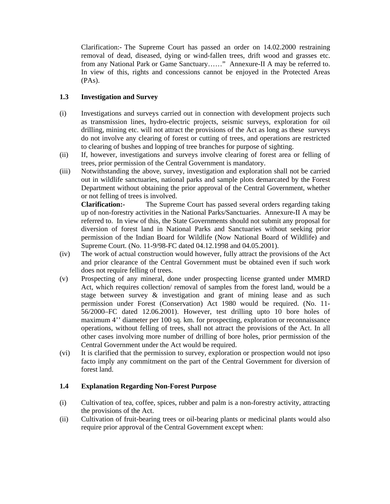Clarification:- The Supreme Court has passed an order on 14.02.2000 restraining removal of dead, diseased, dying or wind-fallen trees, drift wood and grasses etc. from any National Park or Game Sanctuary……" Annexure-II A may be referred to. In view of this, rights and concessions cannot be enjoyed in the Protected Areas (PAs).

### **1.3 Investigation and Survey**

- (i) Investigations and surveys carried out in connection with development projects such as transmission lines, hydro-electric projects, seismic surveys, exploration for oil drilling, mining etc. will not attract the provisions of the Act as long as these surveys do not involve any clearing of forest or cutting of trees, and operations are restricted to clearing of bushes and lopping of tree branches for purpose of sighting.
- (ii) If, however, investigations and surveys involve clearing of forest area or felling of trees, prior permission of the Central Government is mandatory.
- (iii) Notwithstanding the above, survey, investigation and exploration shall not be carried out in wildlife sanctuaries, national parks and sample plots demarcated by the Forest Department without obtaining the prior approval of the Central Government, whether or not felling of trees is involved.

**Clarification:-** The Supreme Court has passed several orders regarding taking up of non-forestry activities in the National Parks/Sanctuaries. Annexure-II A may be referred to. In view of this, the State Governments should not submit any proposal for diversion of forest land in National Parks and Sanctuaries without seeking prior permission of the Indian Board for Wildlife (Now National Board of Wildlife) and Supreme Court. (No. 11-9/98-FC dated 04.12.1998 and 04.05.2001).

- (iv) The work of actual construction would however, fully attract the provisions of the Act and prior clearance of the Central Government must be obtained even if such work does not require felling of trees.
- (v) Prospecting of any mineral, done under prospecting license granted under MMRD Act, which requires collection/ removal of samples from the forest land, would be a stage between survey & investigation and grant of mining lease and as such permission under Forest (Conservation) Act 1980 would be required. (No. 11- 56/2000–FC dated 12.06.2001). However, test drilling upto 10 bore holes of maximum 4'' diameter per 100 sq. km. for prospecting, exploration or reconnaissance operations, without felling of trees, shall not attract the provisions of the Act. In all other cases involving more number of drilling of bore holes, prior permission of the Central Government under the Act would be required.
- (vi) It is clarified that the permission to survey, exploration or prospection would not ipso facto imply any commitment on the part of the Central Government for diversion of forest land.

### **1.4 Explanation Regarding Non-Forest Purpose**

- (i) Cultivation of tea, coffee, spices, rubber and palm is a non-forestry activity, attracting the provisions of the Act.
- (ii) Cultivation of fruit-bearing trees or oil-bearing plants or medicinal plants would also require prior approval of the Central Government except when: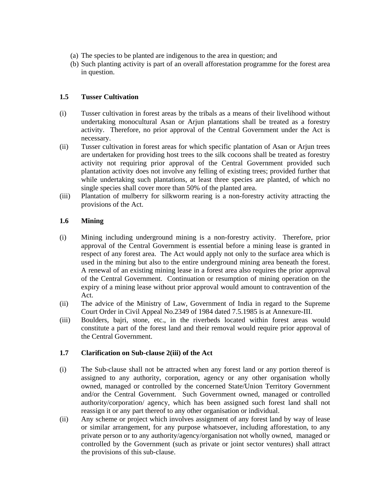- (a) The species to be planted are indigenous to the area in question; and
- (b) Such planting activity is part of an overall afforestation programme for the forest area in question.

### **1.5 Tusser Cultivation**

- (i) Tusser cultivation in forest areas by the tribals as a means of their livelihood without undertaking monocultural Asan or Arjun plantations shall be treated as a forestry activity. Therefore, no prior approval of the Central Government under the Act is necessary.
- (ii) Tusser cultivation in forest areas for which specific plantation of Asan or Arjun trees are undertaken for providing host trees to the silk cocoons shall be treated as forestry activity not requiring prior approval of the Central Government provided such plantation activity does not involve any felling of existing trees; provided further that while undertaking such plantations, at least three species are planted, of which no single species shall cover more than 50% of the planted area.
- (iii) Plantation of mulberry for silkworm rearing is a non-forestry activity attracting the provisions of the Act.

### **1.6 Mining**

- (i) Mining including underground mining is a non-forestry activity. Therefore, prior approval of the Central Government is essential before a mining lease is granted in respect of any forest area. The Act would apply not only to the surface area which is used in the mining but also to the entire underground mining area beneath the forest. A renewal of an existing mining lease in a forest area also requires the prior approval of the Central Government. Continuation or resumption of mining operation on the expiry of a mining lease without prior approval would amount to contravention of the Act.
- (ii) The advice of the Ministry of Law, Government of India in regard to the Supreme Court Order in Civil Appeal No.2349 of 1984 dated 7.5.1985 is at Annexure-III.
- (iii) Boulders, bajri, stone, etc., in the riverbeds located within forest areas would constitute a part of the forest land and their removal would require prior approval of the Central Government.

### **1.7 Clarification on Sub-clause 2(iii) of the Act**

- (i) The Sub-clause shall not be attracted when any forest land or any portion thereof is assigned to any authority, corporation, agency or any other organisation wholly owned, managed or controlled by the concerned State/Union Territory Government and/or the Central Government. Such Government owned, managed or controlled authority/corporation/ agency, which has been assigned such forest land shall not reassign it or any part thereof to any other organisation or individual.
- (ii) Any scheme or project which involves assignment of any forest land by way of lease or similar arrangement, for any purpose whatsoever, including afforestation, to any private person or to any authority/agency/organisation not wholly owned, managed or controlled by the Government (such as private or joint sector ventures) shall attract the provisions of this sub-clause.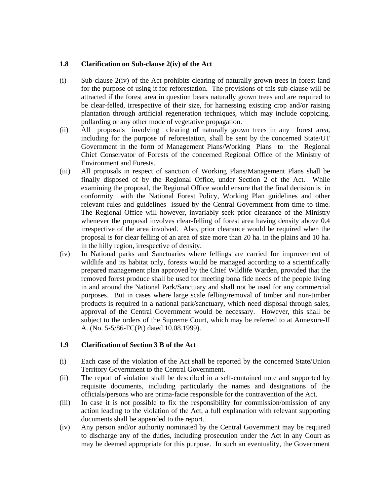### **1.8 Clarification on Sub-clause 2(iv) of the Act**

- (i) Sub-clause 2(iv) of the Act prohibits clearing of naturally grown trees in forest land for the purpose of using it for reforestation. The provisions of this sub-clause will be attracted if the forest area in question bears naturally grown trees and are required to be clear-felled, irrespective of their size, for harnessing existing crop and/or raising plantation through artificial regeneration techniques, which may include coppicing, pollarding or any other mode of vegetative propagation.
- (ii) All proposals involving clearing of naturally grown trees in any forest area, including for the purpose of reforestation, shall be sent by the concerned State/UT Government in the form of Management Plans/Working Plans to the Regional Chief Conservator of Forests of the concerned Regional Office of the Ministry of Environment and Forests.
- (iii) All proposals in respect of sanction of Working Plans/Management Plans shall be finally disposed of by the Regional Office, under Section 2 of the Act. While examining the proposal, the Regional Office would ensure that the final decision is in conformity with the National Forest Policy, Working Plan guidelines and other relevant rules and guidelines issued by the Central Government from time to time. The Regional Office will however, invariably seek prior clearance of the Ministry whenever the proposal involves clear-felling of forest area having density above 0.4 irrespective of the area involved. Also, prior clearance would be required when the proposal is for clear felling of an area of size more than 20 ha. in the plains and 10 ha. in the hilly region, irrespective of density.
- (iv) In National parks and Sanctuaries where fellings are carried for improvement of wildlife and its habitat only, forests would be managed according to a scientifically prepared management plan approved by the Chief Wildlife Warden, provided that the removed forest produce shall be used for meeting bona fide needs of the people living in and around the National Park/Sanctuary and shall not be used for any commercial purposes. But in cases where large scale felling/removal of timber and non-timber products is required in a national park/sanctuary, which need disposal through sales, approval of the Central Government would be necessary. However, this shall be subject to the orders of the Supreme Court, which may be referred to at Annexure-II A. (No. 5-5/86-FC(Pt) dated 10.08.1999).

### **1.9 Clarification of Section 3 B of the Act**

- (i) Each case of the violation of the Act shall be reported by the concerned State/Union Territory Government to the Central Government.
- (ii) The report of violation shall be described in a self-contained note and supported by requisite documents, including particularly the names and designations of the officials/persons who are prima-facie responsible for the contravention of the Act.
- (iii) In case it is not possible to fix the responsibility for commission/omission of any action leading to the violation of the Act, a full explanation with relevant supporting documents shall be appended to the report.
- (iv) Any person and/or authority nominated by the Central Government may be required to discharge any of the duties, including prosecution under the Act in any Court as may be deemed appropriate for this purpose. In such an eventuality, the Government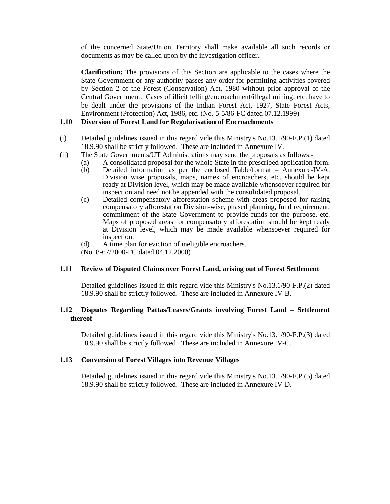of the concerned State/Union Territory shall make available all such records or documents as may be called upon by the investigation officer.

**Clarification:** The provisions of this Section are applicable to the cases where the State Government or any authority passes any order for permitting activities covered by Section 2 of the Forest (Conservation) Act, 1980 without prior approval of the Central Government. Cases of illicit felling/encroachment/illegal mining, etc. have to be dealt under the provisions of the Indian Forest Act, 1927, State Forest Acts, Environment (Protection) Act, 1986, etc. (No. 5-5/86-FC dated 07.12.1999)

### **1.10 Diversion of Forest Land for Regularisation of Encroachments**

- (i) Detailed guidelines issued in this regard vide this Ministry's No.13.1/90-F.P.(1) dated 18.9.90 shall be strictly followed. These are included in Annexure IV.
- (ii) The State Governments/UT Administrations may send the proposals as follows:-
	- (a) A consolidated proposal for the whole State in the prescribed application form.
	- (b) Detailed information as per the enclosed Table/format Annexure-IV-A. Division wise proposals, maps, names of encroachers, etc. should be kept ready at Division level, which may be made available whensoever required for inspection and need not be appended with the consolidated proposal.
	- (c) Detailed compensatory afforestation scheme with areas proposed for raising compensatory afforestation Division-wise, phased planning, fund requirement, commitment of the State Government to provide funds for the purpose, etc. Maps of proposed areas for compensatory afforestation should be kept ready at Division level, which may be made available whensoever required for inspection.
	- (d) A time plan for eviction of ineligible encroachers.

(No. 8-67/2000-FC dated 04.12.2000)

#### **1.11 Review of Disputed Claims over Forest Land, arising out of Forest Settlement**

 Detailed guidelines issued in this regard vide this Ministry's No.13.1/90-F.P.(2) dated 18.9.90 shall be strictly followed. These are included in Annexure IV-B.

#### **1.12 Disputes Regarding Pattas/Leases/Grants involving Forest Land – Settlement thereof**

 Detailed guidelines issued in this regard vide this Ministry's No.13.1/90-F.P.(3) dated 18.9.90 shall be strictly followed. These are included in Annexure IV-C.

#### **1.13 Conversion of Forest Villages into Revenue Villages**

 Detailed guidelines issued in this regard vide this Ministry's No.13.1/90-F.P.(5) dated 18.9.90 shall be strictly followed. These are included in Annexure IV-D.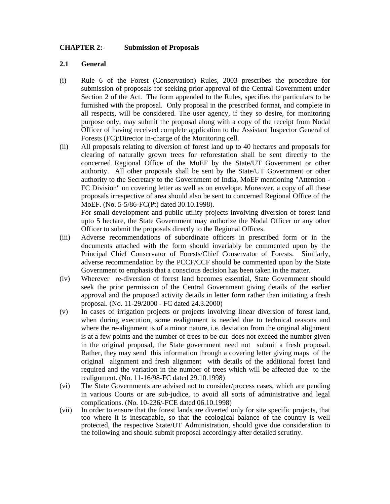### **CHAPTER 2:- Submission of Proposals**

#### **2.1 General**

- (i) Rule 6 of the Forest (Conservation) Rules, 2003 prescribes the procedure for submission of proposals for seeking prior approval of the Central Government under Section 2 of the Act. The form appended to the Rules, specifies the particulars to be furnished with the proposal. Only proposal in the prescribed format, and complete in all respects, will be considered. The user agency, if they so desire, for monitoring purpose only, may submit the proposal along with a copy of the receipt from Nodal Officer of having received complete application to the Assistant Inspector General of Forests (FC)/Director in-charge of the Monitoring cell.
- (ii) All proposals relating to diversion of forest land up to 40 hectares and proposals for clearing of naturally grown trees for reforestation shall be sent directly to the concerned Regional Office of the MoEF by the State/UT Government or other authority. All other proposals shall be sent by the State/UT Government or other authority to the Secretary to the Government of India, MoEF mentioning "Attention - FC Division" on covering letter as well as on envelope. Moreover, a copy of all these proposals irrespective of area should also be sent to concerned Regional Office of the MoEF. (No. 5-5/86-FC(Pt) dated 30.10.1998).

 For small development and public utility projects involving diversion of forest land upto 5 hectare, the State Government may authorize the Nodal Officer or any other Officer to submit the proposals directly to the Regional Offices.

- (iii) Adverse recommendations of subordinate officers in prescribed form or in the documents attached with the form should invariably be commented upon by the Principal Chief Conservator of Forests/Chief Conservator of Forests. Similarly, adverse recommendation by the PCCF/CCF should be commented upon by the State Government to emphasis that a conscious decision has been taken in the matter.
- (iv) Wherever re-diversion of forest land becomes essential, State Government should seek the prior permission of the Central Government giving details of the earlier approval and the proposed activity details in letter form rather than initiating a fresh proposal. (No. 11-29/2000 - FC dated 24.3.2000)
- (v) In cases of irrigation projects or projects involving linear diversion of forest land, when during execution, some realignment is needed due to technical reasons and where the re-alignment is of a minor nature, i.e. deviation from the original alignment is at a few points and the number of trees to be cut does not exceed the number given in the original proposal, the State government need not submit a fresh proposal. Rather, they may send this information through a covering letter giving maps of the original alignment and fresh alignment with details of the additional forest land required and the variation in the number of trees which will be affected due to the realignment. (No. 11-16/98-FC dated 29.10.1998)
- (vi) The State Governments are advised not to consider/process cases, which are pending in various Courts or are sub-judice, to avoid all sorts of administrative and legal complications. (No. 10-236/-FCE dated 06.10.1998)
- (vii) In order to ensure that the forest lands are diverted only for site specific projects, that too where it is inescapable, so that the ecological balance of the country is well protected, the respective State/UT Administration, should give due consideration to the following and should submit proposal accordingly after detailed scrutiny.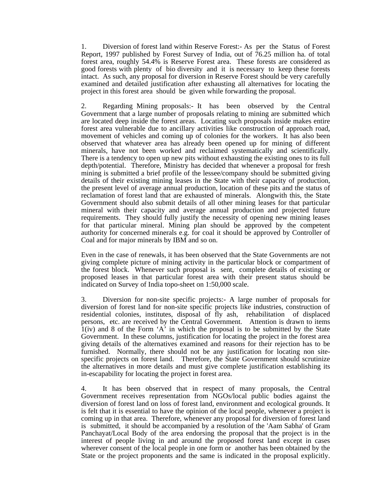1. Diversion of forest land within Reserve Forest:- As per the Status of Forest Report, 1997 published by Forest Survey of India, out of 76.25 million ha. of total forest area, roughly 54.4% is Reserve Forest area. These forests are considered as good forests with plenty of bio diversity and it is necessary to keep these forests intact. As such, any proposal for diversion in Reserve Forest should be very carefully examined and detailed justification after exhausting all alternatives for locating the project in this forest area should be given while forwarding the proposal.

2. Regarding Mining proposals:- It has been observed by the Central Government that a large number of proposals relating to mining are submitted which are located deep inside the forest areas. Locating such proposals inside makes entire forest area vulnerable due to ancillary activities like construction of approach road, movement of vehicles and coming up of colonies for the workers. It has also been observed that whatever area has already been opened up for mining of different minerals, have not been worked and reclaimed systematically and scientifically. There is a tendency to open up new pits without exhausting the existing ones to its full depth/potential. Therefore, Ministry has decided that whenever a proposal for fresh mining is submitted a brief profile of the lessee/company should be submitted giving details of their existing mining leases in the State with their capacity of production, the present level of average annual production, location of these pits and the status of reclamation of forest land that are exhausted of minerals. Alongwith this, the State Government should also submit details of all other mining leases for that particular mineral with their capacity and average annual production and projected future requirements. They should fully justify the necessity of opening new mining leases for that particular mineral. Mining plan should be approved by the competent authority for concerned minerals e.g. for coal it should be approved by Controller of Coal and for major minerals by IBM and so on.

Even in the case of renewals, it has been observed that the State Governments are not giving complete picture of mining activity in the particular block or compartment of the forest block. Whenever such proposal is sent, complete details of existing or proposed leases in that particular forest area with their present status should be indicated on Survey of India topo-sheet on 1:50,000 scale.

3. Diversion for non-site specific projects:- A large number of proposals for diversion of forest land for non-site specific projects like industries, construction of residential colonies, institutes, disposal of fly ash, rehabilitation of displaced persons, etc. are received by the Central Government. Attention is drawn to items  $1(iv)$  and 8 of the Form 'A' in which the proposal is to be submitted by the State Government. In these columns, justification for locating the project in the forest area giving details of the alternatives examined and reasons for their rejection has to be furnished. Normally, there should not be any justification for locating non sitespecific projects on forest land. Therefore, the State Government should scrutinize the alternatives in more details and must give complete justification establishing its in-escapability for locating the project in forest area.

4. It has been observed that in respect of many proposals, the Central Government receives representation from NGOs/local public bodies against the diversion of forest land on loss of forest land, environment and ecological grounds. It is felt that it is essential to have the opinion of the local people, whenever a project is coming up in that area. Therefore, whenever any proposal for diversion of forest land is submitted, it should be accompanied by a resolution of the 'Aam Sabha' of Gram Panchayat/Local Body of the area endorsing the proposal that the project is in the interest of people living in and around the proposed forest land except in cases wherever consent of the local people in one form or another has been obtained by the State or the project proponents and the same is indicated in the proposal explicitly.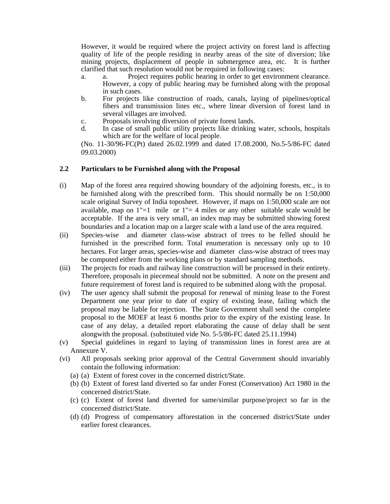However, it would be required where the project activity on forest land is affecting quality of life of the people residing in nearby areas of the site of diversion; like mining projects, displacement of people in submergence area, etc. It is further clarified that such resolution would not be required in following cases:

- a. a. Project requires public hearing in order to get environment clearance. However, a copy of public hearing may be furnished along with the proposal in such cases.
- b. For projects like construction of roads, canals, laying of pipelines/optical fibers and transmission lines etc., where linear diversion of forest land in several villages are involved.
- c. Proposals involving diversion of private forest lands.
- d. In case of small public utility projects like drinking water, schools, hospitals which are for the welfare of local people.

(No. 11-30/96-FC(Pt) dated 26.02.1999 and dated 17.08.2000, No.5-5/86-FC dated 09.03.2000)

#### **2.2 Particulars to be Furnished along with the Proposal**

- (i) Map of the forest area required showing boundary of the adjoining forests, etc., is to be furnished along with the prescribed form. This should normally be on 1:50,000 scale original Survey of India toposheet. However, if maps on 1:50,000 scale are not available, map on  $1"=1$  mile or  $1"=4$  miles or any other suitable scale would be acceptable. If the area is very small, an index map may be submitted showing forest boundaries and a location map on a larger scale with a land use of the area required.
- (ii) Species-wise and diameter class-wise abstract of trees to be felled should be furnished in the prescribed form. Total enumeration is necessary only up to 10 hectares. For larger areas, species-wise and diameter class-wise abstract of trees may be computed either from the working plans or by standard sampling methods.
- (iii) The projects for roads and railway line construction will be processed in their entirety. Therefore, proposals in piecemeal should not be submitted. A note on the present and future requirement of forest land is required to be submitted along with the proposal.
- (iv) The user agency shall submit the proposal for renewal of mining lease to the Forest Department one year prior to date of expiry of existing lease, failing which the proposal may be liable for rejection. The State Government shall send the complete proposal to the MOEF at least 6 months prior to the expiry of the existing lease. In case of any delay, a detailed report elaborating the cause of delay shall be sent alongwith the proposal. (substituted vide No. 5-5/86-FC dated 25.11.1994)
- (v) Special guidelines in regard to laying of transmission lines in forest area are at Annexure V.
- (vi) All proposals seeking prior approval of the Central Government should invariably contain the following information:
	- (a) (a) Extent of forest cover in the concerned district/State.
	- (b) (b) Extent of forest land diverted so far under Forest (Conservation) Act 1980 in the concerned district/State.
	- (c) (c) Extent of forest land diverted for same/similar purpose/project so far in the concerned district/State.
	- (d) (d) Progress of compensatory afforestation in the concerned district/State under earlier forest clearances.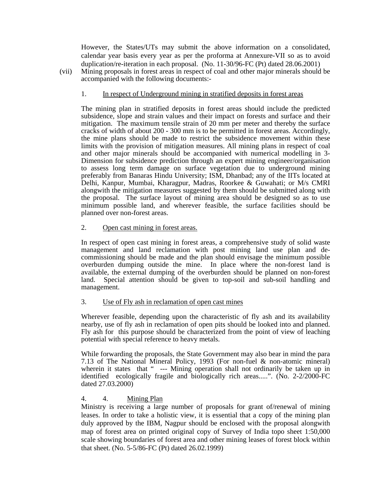However, the States/UTs may submit the above information on a consolidated, calendar year basis every year as per the proforma at Annexure-VII so as to avoid duplication/re-iteration in each proposal. (No. 11-30/96-FC (Pt) dated 28.06.2001)

(vii) Mining proposals in forest areas in respect of coal and other major minerals should be accompanied with the following documents:-

#### 1. In respect of Underground mining in stratified deposits in forest areas

The mining plan in stratified deposits in forest areas should include the predicted subsidence, slope and strain values and their impact on forests and surface and their mitigation. The maximum tensile strain of 20 mm per meter and thereby the surface cracks of width of about 200 - 300 mm is to be permitted in forest areas. Accordingly, the mine plans should be made to restrict the subsidence movement within these limits with the provision of mitigation measures. All mining plans in respect of coal and other major minerals should be accompanied with numerical modelling in 3- Dimension for subsidence prediction through an expert mining engineer/organisation to assess long term damage on surface vegetation due to underground mining preferably from Banaras Hindu University; ISM, Dhanbad; any of the IITs located at Delhi, Kanpur, Mumbai, Kharagpur, Madras, Roorkee & Guwahati; or M/s CMRI alongwith the mitigation measures suggested by them should be submitted along with the proposal. The surface layout of mining area should be designed so as to use minimum possible land, and wherever feasible, the surface facilities should be planned over non-forest areas.

#### 2. Open cast mining in forest areas.

In respect of open cast mining in forest areas, a comprehensive study of solid waste management and land reclamation with post mining land use plan and decommissioning should be made and the plan should envisage the minimum possible overburden dumping outside the mine. In place where the non-forest land is available, the external dumping of the overburden should be planned on non-forest land. Special attention should be given to top-soil and sub-soil handling and management.

#### 3. Use of Fly ash in reclamation of open cast mines

Wherever feasible, depending upon the characteristic of fly ash and its availability nearby, use of fly ash in reclamation of open pits should be looked into and planned. Fly ash for this purpose should be characterized from the point of view of leaching potential with special reference to heavy metals.

While forwarding the proposals, the State Government may also bear in mind the para 7.13 of The National Mineral Policy, 1993 (For non-fuel & non-atomic mineral) wherein it states that " --- Mining operation shall not ordinarily be taken up in identified ecologically fragile and biologically rich areas.....". (No. 2-2/2000-FC dated 27.03.2000)

#### 4. 4. Mining Plan

Ministry is receiving a large number of proposals for grant of/renewal of mining leases. In order to take a holistic view, it is essential that a copy of the mining plan duly approved by the IBM, Nagpur should be enclosed with the proposal alongwith map of forest area on printed original copy of Survey of India topo sheet 1:50,000 scale showing boundaries of forest area and other mining leases of forest block within that sheet. (No. 5-5/86-FC (Pt) dated 26.02.1999)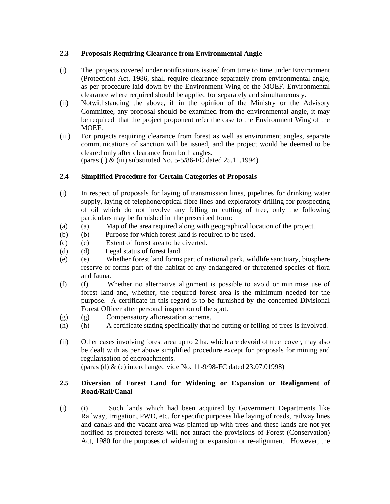### **2.3 Proposals Requiring Clearance from Environmental Angle**

- (i) The projects covered under notifications issued from time to time under Environment (Protection) Act, 1986, shall require clearance separately from environmental angle, as per procedure laid down by the Environment Wing of the MOEF. Environmental clearance where required should be applied for separately and simultaneously.
- (ii) Notwithstanding the above, if in the opinion of the Ministry or the Advisory Committee, any proposal should be examined from the environmental angle, it may be required that the project proponent refer the case to the Environment Wing of the MOEF.
- (iii) For projects requiring clearance from forest as well as environment angles, separate communications of sanction will be issued, and the project would be deemed to be cleared only after clearance from both angles. (paras (i) & (iii) substituted No. 5-5/86-FC dated 25.11.1994)

## **2.4 Simplified Procedure for Certain Categories of Proposals**

- (i) In respect of proposals for laying of transmission lines, pipelines for drinking water supply, laying of telephone/optical fibre lines and exploratory drilling for prospecting of oil which do not involve any felling or cutting of tree, only the following particulars may be furnished in the prescribed form:
- (a) (a) Map of the area required along with geographical location of the project.
- (b) (b) Purpose for which forest land is required to be used.
- (c) (c) Extent of forest area to be diverted.
- (d) (d) Legal status of forest land.
- (e) (e) Whether forest land forms part of national park, wildlife sanctuary, biosphere reserve or forms part of the habitat of any endangered or threatened species of flora and fauna.
- (f) (f) Whether no alternative alignment is possible to avoid or minimise use of forest land and, whether, the required forest area is the minimum needed for the purpose. A certificate in this regard is to be furnished by the concerned Divisional Forest Officer after personal inspection of the spot.
- (g) (g) Compensatory afforestation scheme.
- (h) (h) A certificate stating specifically that no cutting or felling of trees is involved.
- (ii) Other cases involving forest area up to 2 ha. which are devoid of tree cover, may also be dealt with as per above simplified procedure except for proposals for mining and regularisation of encroachments.

(paras (d) & (e) interchanged vide No. 11-9/98-FC dated 23.07.01998)

### **2.5 Diversion of Forest Land for Widening or Expansion or Realignment of Road/Rail/Canal**

(i) (i) Such lands which had been acquired by Government Departments like Railway, Irrigation, PWD, etc. for specific purposes like laying of roads, railway lines and canals and the vacant area was planted up with trees and these lands are not yet notified as protected forests will not attract the provisions of Forest (Conservation) Act, 1980 for the purposes of widening or expansion or re-alignment. However, the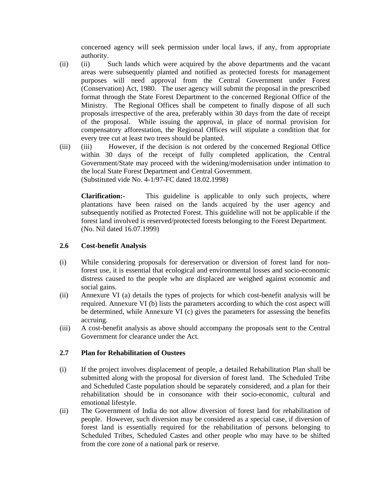concerned agency will seek permission under local laws, if any, from appropriate authority.

- (ii) (ii) Such lands which were acquired by the above departments and the vacant areas were subsequently planted and notified as protected forests for management purposes will need approval from the Central Government under Forest (Conservation) Act, 1980. The user agency will submit the proposal in the prescribed format through the State Forest Department to the concerned Regional Office of the Ministry. The Regional Offices shall be competent to finally dispose of all such proposals irrespective of the area, preferably within 30 days from the date of receipt of the proposal. While issuing the approval, in place of normal provision for compensatory afforestation, the Regional Offices will stipulate a condition that for every tree cut at least two trees should be planted.
- (iii) (iii) However, if the decision is not ordered by the concerned Regional Office within 30 days of the receipt of fully completed application, the Central Government/State may proceed with the widening/modernisation under intimation to the local State Forest Department and Central Government. (Substituted vide No. 4-1/97-FC dated 18.02.1998)

**Clarification:-** This guideline is applicable to only such projects, where plantations have been raised on the lands acquired by the user agency and subsequently notified as Protected Forest. This guideline will not be applicable if the forest land involved is reserved/protected forests belonging to the Forest Department. (No. Nil dated 16.07.1999)

### **2.6 Cost-benefit Analysis**

- (i) While considering proposals for dereservation or diversion of forest land for nonforest use, it is essential that ecological and environmental losses and socio-economic distress caused to the people who are displaced are weighed against economic and social gains.
- (ii) Annexure VI (a) details the types of projects for which cost-benefit analysis will be required. Annexure VI (b) lists the parameters according to which the cost aspect will be determined, while Annexure VI (c) gives the parameters for assessing the benefits accruing.
- (iii) A cost-benefit analysis as above should accompany the proposals sent to the Central Government for clearance under the Act.

### **2.7 Plan for Rehabilitation of Oustees**

- (i) If the project involves displacement of people, a detailed Rehabilitation Plan shall be submitted along with the proposal for diversion of forest land. The Scheduled Tribe and Scheduled Caste population should be separately considered, and a plan for their rehabilitation should be in consonance with their socio-economic, cultural and emotional lifestyle.
- (ii) The Government of India do not allow diversion of forest land for rehabilitation of people. However, such diversion may be considered as a special case, if diversion of forest land is essentially required for the rehabilitation of persons belonging to Scheduled Tribes, Scheduled Castes and other people who may have to be shifted from the core zone of a national park or reserve.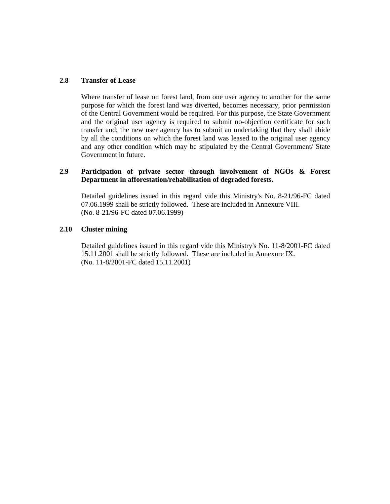#### **2.8 Transfer of Lease**

 Where transfer of lease on forest land, from one user agency to another for the same purpose for which the forest land was diverted, becomes necessary, prior permission of the Central Government would be required. For this purpose, the State Government and the original user agency is required to submit no-objection certificate for such transfer and; the new user agency has to submit an undertaking that they shall abide by all the conditions on which the forest land was leased to the original user agency and any other condition which may be stipulated by the Central Government/ State Government in future.

#### **2.9 Participation of private sector through involvement of NGOs & Forest Department in afforestation/rehabilitation of degraded forests.**

 Detailed guidelines issued in this regard vide this Ministry's No. 8-21/96-FC dated 07.06.1999 shall be strictly followed. These are included in Annexure VIII. (No. 8-21/96-FC dated 07.06.1999)

#### **2.10 Cluster mining**

Detailed guidelines issued in this regard vide this Ministry's No. 11-8/2001-FC dated 15.11.2001 shall be strictly followed. These are included in Annexure IX. (No. 11-8/2001-FC dated 15.11.2001)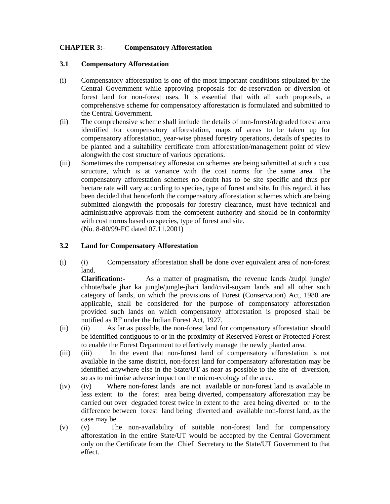## **CHAPTER 3:- Compensatory Afforestation**

#### **3.1 Compensatory Afforestation**

- (i) Compensatory afforestation is one of the most important conditions stipulated by the Central Government while approving proposals for de-reservation or diversion of forest land for non-forest uses. It is essential that with all such proposals, a comprehensive scheme for compensatory afforestation is formulated and submitted to the Central Government.
- (ii) The comprehensive scheme shall include the details of non-forest/degraded forest area identified for compensatory afforestation, maps of areas to be taken up for compensatory afforestation, year-wise phased forestry operations, details of species to be planted and a suitability certificate from afforestation/management point of view alongwith the cost structure of various operations.
- (iii) Sometimes the compensatory afforestation schemes are being submitted at such a cost structure, which is at variance with the cost norms for the same area. The compensatory afforestation schemes no doubt has to be site specific and thus per hectare rate will vary according to species, type of forest and site. In this regard, it has been decided that henceforth the compensatory afforestation schemes which are being submitted alongwith the proposals for forestry clearance, must have technical and administrative approvals from the competent authority and should be in conformity with cost norms based on species, type of forest and site. (No. 8-80/99-FC dated 07.11.2001)

### **3.2 Land for Compensatory Afforestation**

(i) (i) Compensatory afforestation shall be done over equivalent area of non-forest land.

**Clarification:-** As a matter of pragmatism, the revenue lands /zudpi jungle/ chhote/bade jhar ka jungle/jungle-jhari land/civil-soyam lands and all other such category of lands, on which the provisions of Forest (Conservation) Act, 1980 are applicable, shall be considered for the purpose of compensatory afforestation provided such lands on which compensatory afforestation is proposed shall be notified as RF under the Indian Forest Act, 1927.

- (ii) (ii) As far as possible, the non-forest land for compensatory afforestation should be identified contiguous to or in the proximity of Reserved Forest or Protected Forest to enable the Forest Department to effectively manage the newly planted area.
- (iii) (iii) In the event that non-forest land of compensatory afforestation is not available in the same district, non-forest land for compensatory afforestation may be identified anywhere else in the State/UT as near as possible to the site of diversion, so as to minimise adverse impact on the micro-ecology of the area.
- (iv) (iv) Where non-forest lands are not available or non-forest land is available in less extent to the forest area being diverted, compensatory afforestation may be carried out over degraded forest twice in extent to the area being diverted or to the difference between forest land being diverted and available non-forest land, as the case may be.
- (v) (v) The non-availability of suitable non-forest land for compensatory afforestation in the entire State/UT would be accepted by the Central Government only on the Certificate from the Chief Secretary to the State/UT Government to that effect.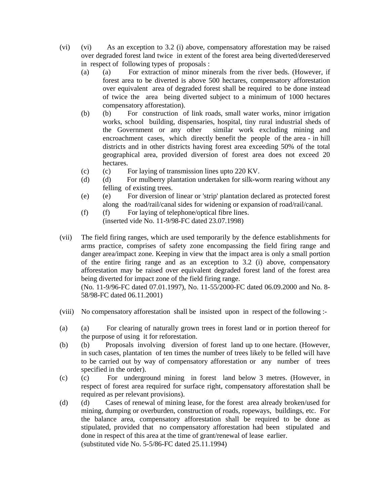- (vi) (vi) As an exception to 3.2 (i) above, compensatory afforestation may be raised over degraded forest land twice in extent of the forest area being diverted/dereserved in respect of following types of proposals :
	- (a) (a) For extraction of minor minerals from the river beds. (However, if forest area to be diverted is above 500 hectares, compensatory afforestation over equivalent area of degraded forest shall be required to be done instead of twice the area being diverted subject to a minimum of 1000 hectares compensatory afforestation).
	- (b) (b) For construction of link roads, small water works, minor irrigation works, school building, dispensaries, hospital, tiny rural industrial sheds of the Government or any other similar work excluding mining and encroachment cases, which directly benefit the people of the area - in hill districts and in other districts having forest area exceeding 50% of the total geographical area, provided diversion of forest area does not exceed 20 hectares.
	- (c) (c) For laying of transmission lines upto 220 KV.
	- (d) (d) For mulberry plantation undertaken for silk-worm rearing without any felling of existing trees.
	- (e) (e) For diversion of linear or 'strip' plantation declared as protected forest along the road/rail/canal sides for widening or expansion of road/rail/canal.
	- (f) (f) For laying of telephone/optical fibre lines. (inserted vide No. 11-9/98-FC dated 23.07.1998)
- (vii) The field firing ranges, which are used temporarily by the defence establishments for arms practice, comprises of safety zone encompassing the field firing range and danger area/impact zone. Keeping in view that the impact area is only a small portion of the entire firing range and as an exception to 3.2 (i) above, compensatory afforestation may be raised over equivalent degraded forest land of the forest area being diverted for impact zone of the field firing range.

(No. 11-9/96-FC dated 07.01.1997), No. 11-55/2000-FC dated 06.09.2000 and No. 8- 58/98-FC dated 06.11.2001)

- (viii) No compensatory afforestation shall be insisted upon in respect of the following :-
- (a) (a) For clearing of naturally grown trees in forest land or in portion thereof for the purpose of using it for reforestation.
- (b) (b) Proposals involving diversion of forest land up to one hectare. (However, in such cases, plantation of ten times the number of trees likely to be felled will have to be carried out by way of compensatory afforestation or any number of trees specified in the order).
- (c) (c) For underground mining in forest land below 3 metres. (However, in respect of forest area required for surface right, compensatory afforestation shall be required as per relevant provisions).
- (d) (d) Cases of renewal of mining lease, for the forest area already broken/used for mining, dumping or overburden, construction of roads, ropeways, buildings, etc. For the balance area, compensatory afforestation shall be required to be done as stipulated, provided that no compensatory afforestation had been stipulated and done in respect of this area at the time of grant/renewal of lease earlier. (substituted vide No. 5-5/86-FC dated 25.11.1994)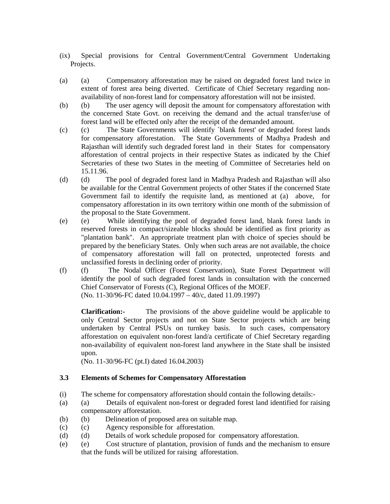- (ix) Special provisions for Central Government/Central Government Undertaking Projects.
- (a) (a) Compensatory afforestation may be raised on degraded forest land twice in extent of forest area being diverted. Certificate of Chief Secretary regarding nonavailability of non-forest land for compensatory afforestation will not be insisted.
- (b) (b) The user agency will deposit the amount for compensatory afforestation with the concerned State Govt. on receiving the demand and the actual transfer/use of forest land will be effected only after the receipt of the demanded amount.
- (c) (c) The State Governments will identify `blank forest' or degraded forest lands for compensatory afforestation. The State Governments of Madhya Pradesh and Rajasthan will identify such degraded forest land in their States for compensatory afforestation of central projects in their respective States as indicated by the Chief Secretaries of these two States in the meeting of Committee of Secretaries held on 15.11.96.
- (d) (d) The pool of degraded forest land in Madhya Pradesh and Rajasthan will also be available for the Central Government projects of other States if the concerned State Government fail to identify the requisite land, as mentioned at (a) above, for compensatory afforestation in its own territory within one month of the submission of the proposal to the State Government.
- (e) (e) While identifying the pool of degraded forest land, blank forest lands in reserved forests in compact/sizeable blocks should be identified as first priority as "plantation bank". An appropriate treatment plan with choice of species should be prepared by the beneficiary States. Only when such areas are not available, the choice of compensatory afforestation will fall on protected, unprotected forests and unclassified forests in declining order of priority.
- (f) (f) The Nodal Officer (Forest Conservation), State Forest Department will identify the pool of such degraded forest lands in consultation with the concerned Chief Conservator of Forests (C), Regional Offices of the MOEF. (No. 11-30/96-FC dated 10.04.1997 – 40/c, dated 11.09.1997)

**Clarification:-** The provisions of the above guideline would be applicable to only Central Sector projects and not on State Sector projects which are being undertaken by Central PSUs on turnkey basis. In such cases, compensatory afforestation on equivalent non-forest land/a certificate of Chief Secretary regarding non-availability of equivalent non-forest land anywhere in the State shall be insisted upon.

(No. 11-30/96-FC (pt.I) dated 16.04.2003)

### **3.3 Elements of Schemes for Compensatory Afforestation**

- (i) The scheme for compensatory afforestation should contain the following details:-
- (a) (a) Details of equivalent non-forest or degraded forest land identified for raising compensatory afforestation.
- (b) (b) Delineation of proposed area on suitable map.
- (c) (c) Agency responsible for afforestation.
- (d) (d) Details of work schedule proposed for compensatory afforestation.
- (e) (e) Cost structure of plantation, provision of funds and the mechanism to ensure that the funds will be utilized for raising afforestation.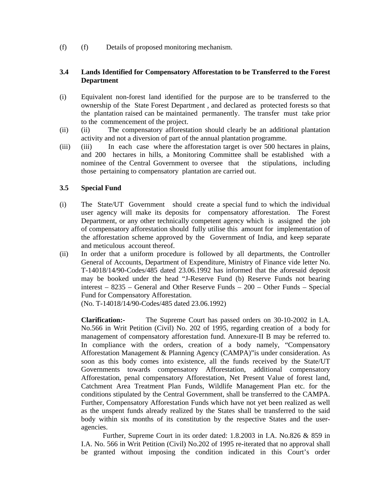(f) (f) Details of proposed monitoring mechanism.

### **3.4 Lands Identified for Compensatory Afforestation to be Transferred to the Forest Department**

- (i) Equivalent non-forest land identified for the purpose are to be transferred to the ownership of the State Forest Department , and declared as protected forests so that the plantation raised can be maintained permanently. The transfer must take prior to the commencement of the project.
- (ii) (ii) The compensatory afforestation should clearly be an additional plantation activity and not a diversion of part of the annual plantation programme.
- (iii) (iii) In each case where the afforestation target is over 500 hectares in plains, and 200 hectares in hills, a Monitoring Committee shall be established with a nominee of the Central Government to oversee that the stipulations, including those pertaining to compensatory plantation are carried out.

#### **3.5 Special Fund**

- (i) The State/UT Government should create a special fund to which the individual user agency will make its deposits for compensatory afforestation. The Forest Department, or any other technically competent agency which is assigned the job of compensatory afforestation should fully utilise this amount for implementation of the afforestation scheme approved by the Government of India, and keep separate and meticulous account thereof.
- (ii) In order that a uniform procedure is followed by all departments, the Controller General of Accounts, Department of Expenditure, Ministry of Finance vide letter No. T-14018/14/90-Codes/485 dated 23.06.1992 has informed that the aforesaid deposit may be booked under the head "J-Reserve Fund (b) Reserve Funds not bearing interest – 8235 – General and Other Reserve Funds – 200 – Other Funds – Special Fund for Compensatory Afforestation.

(No. T-14018/14/90-Codes/485 dated 23.06.1992)

**Clarification:-** The Supreme Court has passed orders on 30-10-2002 in I.A. No.566 in Writ Petition (Civil) No. 202 of 1995, regarding creation of a body for management of compensatory afforestation fund. Annexure-II B may be referred to. In compliance with the orders, creation of a body namely, "Compensatory Afforestation Management & Planning Agency (CAMPA)"is under consideration. As soon as this body comes into existence, all the funds received by the State/UT Governments towards compensatory Afforestation, additional compensatory Afforestation, penal compensatory Afforestation, Net Present Value of forest land, Catchment Area Treatment Plan Funds, Wildlife Management Plan etc. for the conditions stipulated by the Central Government, shall be transferred to the CAMPA. Further, Compensatory Afforestation Funds which have not yet been realized as well as the unspent funds already realized by the States shall be transferred to the said body within six months of its constitution by the respective States and the useragencies.

Further, Supreme Court in its order dated: 1.8.2003 in I.A. No.826 & 859 in I.A. No. 566 in Writ Petition (Civil) No.202 of 1995 re-iterated that no approval shall be granted without imposing the condition indicated in this Court's order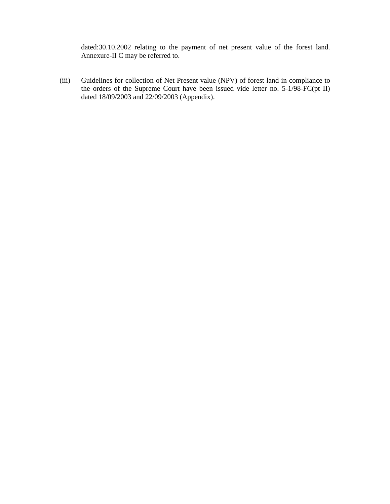dated:30.10.2002 relating to the payment of net present value of the forest land. Annexure-II C may be referred to.

(iii) Guidelines for collection of Net Present value (NPV) of forest land in compliance to the orders of the Supreme Court have been issued vide letter no. 5-1/98-FC(pt II) dated 18/09/2003 and 22/09/2003 (Appendix).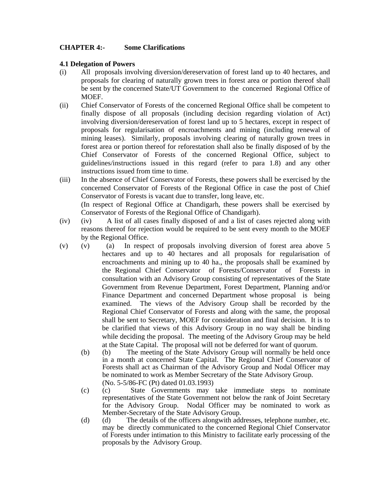### **CHAPTER 4:- Some Clarifications**

#### **4.1 Delegation of Powers**

- (i) All proposals involving diversion/dereservation of forest land up to 40 hectares, and proposals for clearing of naturally grown trees in forest area or portion thereof shall be sent by the concerned State/UT Government to the concerned Regional Office of MOEF.
- (ii) Chief Conservator of Forests of the concerned Regional Office shall be competent to finally dispose of all proposals (including decision regarding violation of Act) involving diversion/dereservation of forest land up to 5 hectares, except in respect of proposals for regularisation of encroachments and mining (including renewal of mining leases). Similarly, proposals involving clearing of naturally grown trees in forest area or portion thereof for reforestation shall also be finally disposed of by the Chief Conservator of Forests of the concerned Regional Office, subject to guidelines/instructions issued in this regard (refer to para 1.8) and any other instructions issued from time to time.
- (iii) In the absence of Chief Conservator of Forests, these powers shall be exercised by the concerned Conservator of Forests of the Regional Office in case the post of Chief Conservator of Forests is vacant due to transfer, long leave, etc.

(In respect of Regional Office at Chandigarh, these powers shall be exercised by Conservator of Forests of the Regional Office of Chandigarh).

- (iv) (iv) A list of all cases finally disposed of and a list of cases rejected along with reasons thereof for rejection would be required to be sent every month to the MOEF by the Regional Office.
- (v) (v) (a) In respect of proposals involving diversion of forest area above 5 hectares and up to 40 hectares and all proposals for regularisation of encroachments and mining up to 40 ha., the proposals shall be examined by the Regional Chief Conservator of Forests/Conservator of Forests in consultation with an Advisory Group consisting of representatives of the State Government from Revenue Department, Forest Department, Planning and/or Finance Department and concerned Department whose proposal is being examined. The views of the Advisory Group shall be recorded by the Regional Chief Conservator of Forests and along with the same, the proposal shall be sent to Secretary, MOEF for consideration and final decision. It is to be clarified that views of this Advisory Group in no way shall be binding while deciding the proposal. The meeting of the Advisory Group may be held at the State Capital. The proposal will not be deferred for want of quorum.
	- (b) (b) The meeting of the State Advisory Group will normally be held once in a month at concerned State Capital. The Regional Chief Conservator of Forests shall act as Chairman of the Advisory Group and Nodal Officer may be nominated to work as Member Secretary of the State Advisory Group. (No. 5-5/86-FC (Pt) dated 01.03.1993)
	- (c) (c) State Governments may take immediate steps to nominate representatives of the State Government not below the rank of Joint Secretary for the Advisory Group. Nodal Officer may be nominated to work as Member-Secretary of the State Advisory Group.
	- (d) (d) The details of the officers alongwith addresses, telephone number, etc. may be directly communicated to the concerned Regional Chief Conservator of Forests under intimation to this Ministry to facilitate early processing of the proposals by the Advisory Group.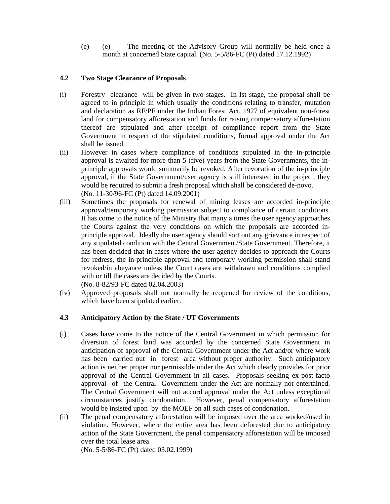(e) (e) The meeting of the Advisory Group will normally be held once a month at concerned State capital. (No. 5-5/86-FC (Pt) dated 17.12.1992)

### **4.2 Two Stage Clearance of Proposals**

- (i) Forestry clearance will be given in two stages. In Ist stage, the proposal shall be agreed to in principle in which usually the conditions relating to transfer, mutation and declaration as RF/PF under the Indian Forest Act, 1927 of equivalent non-forest land for compensatory afforestation and funds for raising compensatory afforestation thereof are stipulated and after receipt of compliance report from the State Government in respect of the stipulated conditions, formal approval under the Act shall be issued.
- (ii) However in cases where compliance of conditions stipulated in the in-principle approval is awaited for more than 5 (five) years from the State Governments, the inprinciple approvals would summarily be revoked. After revocation of the in-principle approval, if the State Government/user agency is still interested in the project, they would be required to submit a fresh proposal which shall be considered de-novo. (No. 11-30/96-FC (Pt) dated 14.09.2001)
- (iii) Sometimes the proposals for renewal of mining leases are accorded in-principle approval/temporary working permission subject to compliance of certain conditions. It has come to the notice of the Ministry that many a times the user agency approaches the Courts against the very conditions on which the proposals are accorded inprinciple approval. Ideally the user agency should sort out any grievance in respect of any stipulated condition with the Central Government/State Government. Therefore, it has been decided that in cases where the user agency decides to approach the Courts for redress, the in-principle approval and temporary working permission shall stand revoked/in abeyance unless the Court cases are withdrawn and conditions complied with or till the cases are decided by the Courts. (No. 8-82/93-FC dated 02.04.2003)
- (iv) Approved proposals shall not normally be reopened for review of the conditions, which have been stipulated earlier.

### **4.3 Anticipatory Action by the State / UT Governments**

- (i) Cases have come to the notice of the Central Government in which permission for diversion of forest land was accorded by the concerned State Government in anticipation of approval of the Central Government under the Act and/or where work has been carried out in forest area without proper authority. Such anticipatory action is neither proper nor permissible under the Act which clearly provides for prior approval of the Central Government in all cases. Proposals seeking ex-post-facto approval of the Central Government under the Act are normally not entertained. The Central Government will not accord approval under the Act unless exceptional circumstances justify condonation. However, penal compensatory afforestation would be insisted upon by the MOEF on all such cases of condonation.
- (ii) The penal compensatory afforestation will be imposed over the area worked/used in violation. However, where the entire area has been deforested due to anticipatory action of the State Government, the penal compensatory afforestation will be imposed over the total lease area.

(No. 5-5/86-FC (Pt) dated 03.02.1999)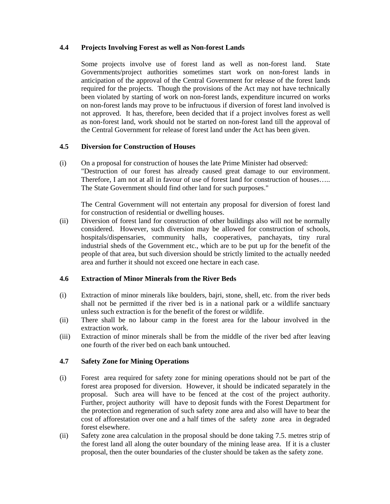### **4.4 Projects Involving Forest as well as Non-forest Lands**

Some projects involve use of forest land as well as non-forest land. State Governments/project authorities sometimes start work on non-forest lands in anticipation of the approval of the Central Government for release of the forest lands required for the projects. Though the provisions of the Act may not have technically been violated by starting of work on non-forest lands, expenditure incurred on works on non-forest lands may prove to be infructuous if diversion of forest land involved is not approved. It has, therefore, been decided that if a project involves forest as well as non-forest land, work should not be started on non-forest land till the approval of the Central Government for release of forest land under the Act has been given.

### **4.5 Diversion for Construction of Houses**

(i) On a proposal for construction of houses the late Prime Minister had observed: "Destruction of our forest has already caused great damage to our environment. Therefore, I am not at all in favour of use of forest land for construction of houses….. The State Government should find other land for such purposes."

The Central Government will not entertain any proposal for diversion of forest land for construction of residential or dwelling houses.

(ii) Diversion of forest land for construction of other buildings also will not be normally considered. However, such diversion may be allowed for construction of schools, hospitals/dispensaries, community halls, cooperatives, panchayats, tiny rural industrial sheds of the Government etc., which are to be put up for the benefit of the people of that area, but such diversion should be strictly limited to the actually needed area and further it should not exceed one hectare in each case.

### **4.6 Extraction of Minor Minerals from the River Beds**

- (i) Extraction of minor minerals like boulders, bajri, stone, shell, etc. from the river beds shall not be permitted if the river bed is in a national park or a wildlife sanctuary unless such extraction is for the benefit of the forest or wildlife.
- (ii) There shall be no labour camp in the forest area for the labour involved in the extraction work.
- (iii) Extraction of minor minerals shall be from the middle of the river bed after leaving one fourth of the river bed on each bank untouched.

#### **4.7 Safety Zone for Mining Operations**

- (i) Forest area required for safety zone for mining operations should not be part of the forest area proposed for diversion. However, it should be indicated separately in the proposal. Such area will have to be fenced at the cost of the project authority. Further, project authority will have to deposit funds with the Forest Department for the protection and regeneration of such safety zone area and also will have to bear the cost of afforestation over one and a half times of the safety zone area in degraded forest elsewhere.
- (ii) Safety zone area calculation in the proposal should be done taking 7.5. metres strip of the forest land all along the outer boundary of the mining lease area. If it is a cluster proposal, then the outer boundaries of the cluster should be taken as the safety zone.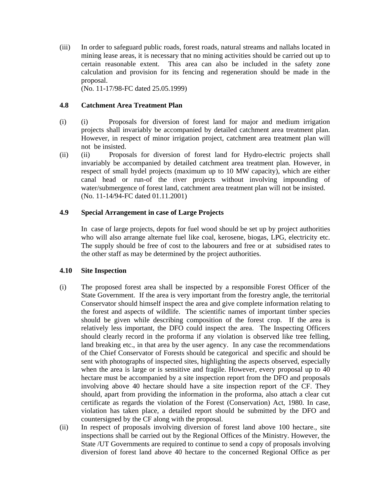(iii) In order to safeguard public roads, forest roads, natural streams and nallahs located in mining lease areas, it is necessary that no mining activities should be carried out up to certain reasonable extent. This area can also be included in the safety zone calculation and provision for its fencing and regeneration should be made in the proposal.

(No. 11-17/98-FC dated 25.05.1999)

### **4.8 Catchment Area Treatment Plan**

- (i) (i) Proposals for diversion of forest land for major and medium irrigation projects shall invariably be accompanied by detailed catchment area treatment plan. However, in respect of minor irrigation project, catchment area treatment plan will not be insisted.
- (ii) (ii) Proposals for diversion of forest land for Hydro-electric projects shall invariably be accompanied by detailed catchment area treatment plan. However, in respect of small hydel projects (maximum up to 10 MW capacity), which are either canal head or run-of the river projects without involving impounding of water/submergence of forest land, catchment area treatment plan will not be insisted. (No. 11-14/94-FC dated 01.11.2001)

### **4.9 Special Arrangement in case of Large Projects**

In case of large projects, depots for fuel wood should be set up by project authorities who will also arrange alternate fuel like coal, kerosene, biogas, LPG, electricity etc. The supply should be free of cost to the labourers and free or at subsidised rates to the other staff as may be determined by the project authorities.

#### **4.10 Site Inspection**

- (i) The proposed forest area shall be inspected by a responsible Forest Officer of the State Government. If the area is very important from the forestry angle, the territorial Conservator should himself inspect the area and give complete information relating to the forest and aspects of wildlife. The scientific names of important timber species should be given while describing composition of the forest crop. If the area is relatively less important, the DFO could inspect the area. The Inspecting Officers should clearly record in the proforma if any violation is observed like tree felling, land breaking etc., in that area by the user agency. In any case the recommendations of the Chief Conservator of Forests should be categorical and specific and should be sent with photographs of inspected sites, highlighting the aspects observed, especially when the area is large or is sensitive and fragile. However, every proposal up to 40 hectare must be accompanied by a site inspection report from the DFO and proposals involving above 40 hectare should have a site inspection report of the CF. They should, apart from providing the information in the proforma, also attach a clear cut certificate as regards the violation of the Forest (Conservation) Act, 1980. In case, violation has taken place, a detailed report should be submitted by the DFO and countersigned by the CF along with the proposal.
- (ii) In respect of proposals involving diversion of forest land above 100 hectare., site inspections shall be carried out by the Regional Offices of the Ministry. However, the State /UT Governments are required to continue to send a copy of proposals involving diversion of forest land above 40 hectare to the concerned Regional Office as per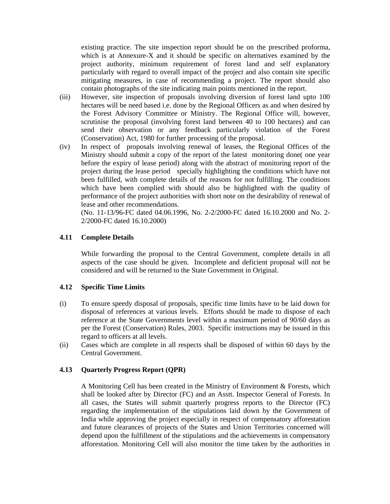existing practice. The site inspection report should be on the prescribed proforma, which is at Annexure-X and it should be specific on alternatives examined by the project authority, minimum requirement of forest land and self explanatory particularly with regard to overall impact of the project and also contain site specific mitigating measures, in case of recommending a project. The report should also contain photographs of the site indicating main points mentioned in the report.

- (iii) However, site inspection of proposals involving diversion of forest land upto 100 hectares will be need based i.e. done by the Regional Officers as and when desired by the Forest Advisory Committee or Ministry. The Regional Office will, however, scrutinise the proposal (involving forest land between 40 to 100 hectares) and can send their observation or any feedback particularly violation of the Forest (Conservation) Act, 1980 for further processing of the proposal.
- (iv) In respect of proposals involving renewal of leases, the Regional Offices of the Ministry should submit a copy of the report of the latest monitoring done( one year before the expiry of lease period) along with the abstract of monitoring report of the project during the lease period specially highlighting the conditions which have not been fulfilled, with complete details of the reasons for not fulfilling. The conditions which have been complied with should also be highlighted with the quality of performance of the project authorities with short note on the desirability of renewal of lease and other recommendations.

(No. 11-13/96-FC dated 04.06.1996, No. 2-2/2000-FC dated 16.10.2000 and No. 2- 2/2000-FC dated 16.10.2000)

#### **4.11 Complete Details**

While forwarding the proposal to the Central Government, complete details in all aspects of the case should be given. Incomplete and deficient proposal will not be considered and will be returned to the State Government in Original.

#### **4.12 Specific Time Limits**

- (i) To ensure speedy disposal of proposals, specific time limits have to be laid down for disposal of references at various levels. Efforts should be made to dispose of each reference at the State Governments level within a maximum period of 90/60 days as per the Forest (Conservation) Rules, 2003. Specific instructions may be issued in this regard to officers at all levels.
- (ii) Cases which are complete in all respects shall be disposed of within 60 days by the Central Government.

#### **4.13 Quarterly Progress Report (QPR)**

 A Monitoring Cell has been created in the Ministry of Environment & Forests, which shall be looked after by Director (FC) and an Asstt. Inspector General of Forests. In all cases, the States will submit quarterly progress reports to the Director (FC) regarding the implementation of the stipulations laid down by the Government of India while approving the project especially in respect of compensatory afforestation and future clearances of projects of the States and Union Territories concerned will depend upon the fulfillment of the stipulations and the achievements in compensatory afforestation. Monitoring Cell will also monitor the time taken by the authorities in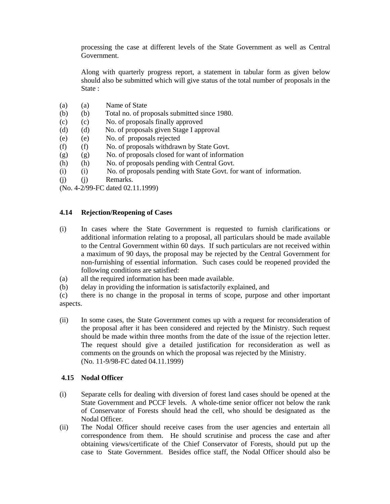processing the case at different levels of the State Government as well as Central Government.

Along with quarterly progress report, a statement in tabular form as given below should also be submitted which will give status of the total number of proposals in the State :

- (a) (a) Name of State
- (b) (b) Total no. of proposals submitted since 1980.
- (c) (c) No. of proposals finally approved
- (d) (d) No. of proposals given Stage I approval
- (e) (e) No. of proposals rejected
- (f) (f) No. of proposals withdrawn by State Govt.
- (g) (g) No. of proposals closed for want of information
- (h) (h) No. of proposals pending with Central Govt.
- (i) (i) No. of proposals pending with State Govt. for want of information.
- (j) (j) Remarks.
- (No. 4-2/99-FC dated 02.11.1999)

#### **4.14 Rejection/Reopening of Cases**

- (i) In cases where the State Government is requested to furnish clarifications or additional information relating to a proposal, all particulars should be made available to the Central Government within 60 days. If such particulars are not received within a maximum of 90 days, the proposal may be rejected by the Central Government for non-furnishing of essential information. Such cases could be reopened provided the following conditions are satisfied:
- (a) all the required information has been made available.
- (b) delay in providing the information is satisfactorily explained, and
- (c) there is no change in the proposal in terms of scope, purpose and other important aspects.
- (ii) In some cases, the State Government comes up with a request for reconsideration of the proposal after it has been considered and rejected by the Ministry. Such request should be made within three months from the date of the issue of the rejection letter. The request should give a detailed justification for reconsideration as well as comments on the grounds on which the proposal was rejected by the Ministry. (No. 11-9/98-FC dated 04.11.1999)

### **4.15 Nodal Officer**

- (i) Separate cells for dealing with diversion of forest land cases should be opened at the State Government and PCCF levels. A whole-time senior officer not below the rank of Conservator of Forests should head the cell, who should be designated as the Nodal Officer.
- (ii) The Nodal Officer should receive cases from the user agencies and entertain all correspondence from them. He should scrutinise and process the case and after obtaining views/certificate of the Chief Conservator of Forests, should put up the case to State Government. Besides office staff, the Nodal Officer should also be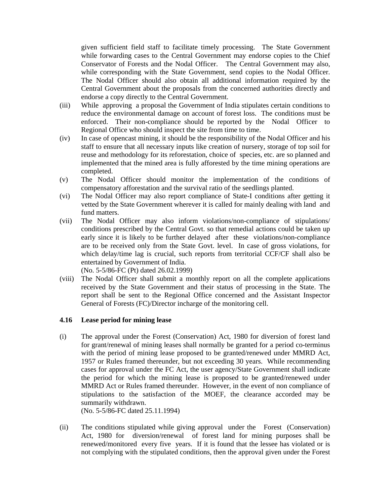given sufficient field staff to facilitate timely processing. The State Government while forwarding cases to the Central Government may endorse copies to the Chief Conservator of Forests and the Nodal Officer. The Central Government may also, while corresponding with the State Government, send copies to the Nodal Officer. The Nodal Officer should also obtain all additional information required by the Central Government about the proposals from the concerned authorities directly and endorse a copy directly to the Central Government.

- (iii) While approving a proposal the Government of India stipulates certain conditions to reduce the environmental damage on account of forest loss. The conditions must be enforced. Their non-compliance should be reported by the Nodal Officer to Regional Office who should inspect the site from time to time.
- (iv) In case of opencast mining, it should be the responsibility of the Nodal Officer and his staff to ensure that all necessary inputs like creation of nursery, storage of top soil for reuse and methodology for its reforestation, choice of species, etc. are so planned and implemented that the mined area is fully afforested by the time mining operations are completed.
- (v) The Nodal Officer should monitor the implementation of the conditions of compensatory afforestation and the survival ratio of the seedlings planted.
- (vi) The Nodal Officer may also report compliance of State-I conditions after getting it vetted by the State Government wherever it is called for mainly dealing with land and fund matters.
- (vii) The Nodal Officer may also inform violations/non-compliance of stipulations/ conditions prescribed by the Central Govt. so that remedial actions could be taken up early since it is likely to be further delayed after these violations/non-compliance are to be received only from the State Govt. level. In case of gross violations, for which delay/time lag is crucial, such reports from territorial CCF/CF shall also be entertained by Government of India.

(No. 5-5/86-FC (Pt) dated 26.02.1999)

(viii) The Nodal Officer shall submit a monthly report on all the complete applications received by the State Government and their status of processing in the State. The report shall be sent to the Regional Office concerned and the Assistant Inspector General of Forests (FC)/Director incharge of the monitoring cell.

#### **4.16 Lease period for mining lease**

(i) The approval under the Forest (Conservation) Act, 1980 for diversion of forest land for grant/renewal of mining leases shall normally be granted for a period co-terminus with the period of mining lease proposed to be granted/renewed under MMRD Act, 1957 or Rules framed thereunder, but not exceeding 30 years. While recommending cases for approval under the FC Act, the user agency/State Government shall indicate the period for which the mining lease is proposed to be granted/renewed under MMRD Act or Rules framed thereunder. However, in the event of non compliance of stipulations to the satisfaction of the MOEF, the clearance accorded may be summarily withdrawn.

(No. 5-5/86-FC dated 25.11.1994)

(ii) The conditions stipulated while giving approval under the Forest (Conservation) Act, 1980 for diversion/renewal of forest land for mining purposes shall be renewed/monitored every five years. If it is found that the lessee has violated or is not complying with the stipulated conditions, then the approval given under the Forest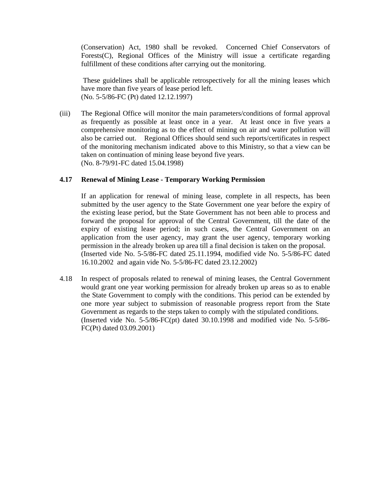(Conservation) Act, 1980 shall be revoked. Concerned Chief Conservators of Forests(C), Regional Offices of the Ministry will issue a certificate regarding fulfillment of these conditions after carrying out the monitoring.

 These guidelines shall be applicable retrospectively for all the mining leases which have more than five years of lease period left. (No. 5-5/86-FC (Pt) dated 12.12.1997)

(iii) The Regional Office will monitor the main parameters/conditions of formal approval as frequently as possible at least once in a year. At least once in five years a comprehensive monitoring as to the effect of mining on air and water pollution will also be carried out. Regional Offices should send such reports/certificates in respect of the monitoring mechanism indicated above to this Ministry, so that a view can be taken on continuation of mining lease beyond five years. (No. 8-79/91-FC dated 15.04.1998)

#### **4.17 Renewal of Mining Lease - Temporary Working Permission**

If an application for renewal of mining lease, complete in all respects, has been submitted by the user agency to the State Government one year before the expiry of the existing lease period, but the State Government has not been able to process and forward the proposal for approval of the Central Government, till the date of the expiry of existing lease period; in such cases, the Central Government on an application from the user agency, may grant the user agency, temporary working permission in the already broken up area till a final decision is taken on the proposal. (Inserted vide No. 5-5/86-FC dated 25.11.1994, modified vide No. 5-5/86-FC dated 16.10.2002 and again vide No. 5-5/86-FC dated 23.12.2002)

4.18 In respect of proposals related to renewal of mining leases, the Central Government would grant one year working permission for already broken up areas so as to enable the State Government to comply with the conditions. This period can be extended by one more year subject to submission of reasonable progress report from the State Government as regards to the steps taken to comply with the stipulated conditions. (Inserted vide No. 5-5/86-FC(pt) dated 30.10.1998 and modified vide No. 5-5/86- FC(Pt) dated 03.09.2001)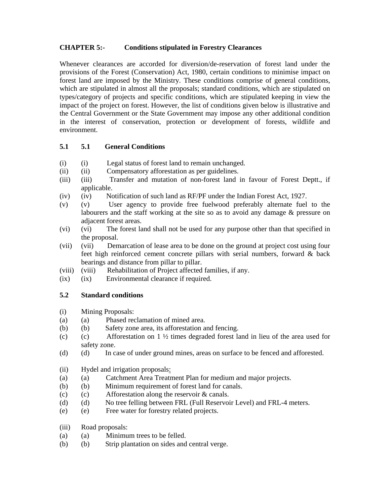### **CHAPTER 5:- Conditions stipulated in Forestry Clearances**

Whenever clearances are accorded for diversion/de-reservation of forest land under the provisions of the Forest (Conservation) Act, 1980, certain conditions to minimise impact on forest land are imposed by the Ministry. These conditions comprise of general conditions, which are stipulated in almost all the proposals; standard conditions, which are stipulated on types/category of projects and specific conditions, which are stipulated keeping in view the impact of the project on forest. However, the list of conditions given below is illustrative and the Central Government or the State Government may impose any other additional condition in the interest of conservation, protection or development of forests, wildlife and environment.

### **5.1 5.1 General Conditions**

- (i) (i) Legal status of forest land to remain unchanged.
- (ii) (ii) Compensatory afforestation as per guidelines.
- (iii) (iii) Transfer and mutation of non-forest land in favour of Forest Deptt., if applicable.
- (iv) (iv) Notification of such land as RF/PF under the Indian Forest Act, 1927.
- (v) (v) User agency to provide free fuelwood preferably alternate fuel to the labourers and the staff working at the site so as to avoid any damage & pressure on adjacent forest areas.
- (vi) (vi) The forest land shall not be used for any purpose other than that specified in the proposal.
- (vii) (vii) Demarcation of lease area to be done on the ground at project cost using four feet high reinforced cement concrete pillars with serial numbers, forward & back bearings and distance from pillar to pillar.
- (viii) (viii) Rehabilitation of Project affected families, if any.
- (ix) (ix) Environmental clearance if required.

# **5.2 Standard conditions**

- (i) Mining Proposals:
- (a) (a) Phased reclamation of mined area.
- (b) (b) Safety zone area, its afforestation and fencing.
- (c) (c) Afforestation on  $1 \frac{1}{2}$  times degraded forest land in lieu of the area used for safety zone.
- (d) (d) In case of under ground mines, areas on surface to be fenced and afforested.
- (ii) Hydel and irrigation proposals:
- (a) (a) Catchment Area Treatment Plan for medium and major projects.
- (b) (b) Minimum requirement of forest land for canals.
- (c) (c) Afforestation along the reservoir & canals.
- (d) (d) No tree felling between FRL (Full Reservoir Level) and FRL-4 meters.
- (e) (e) Free water for forestry related projects.
- (iii) Road proposals:
- (a) (a) Minimum trees to be felled.
- (b) (b) Strip plantation on sides and central verge.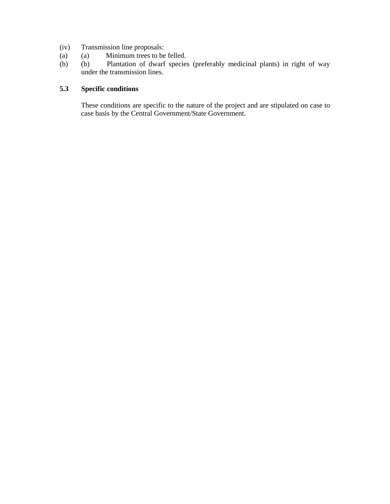- (iv) Transmission line proposals:
- (a) (a) Minimum trees to be felled.<br>
(b) (b) Plantation of dwarf species
- (b) (b) Plantation of dwarf species (preferably medicinal plants) in right of way under the transmission lines.

# **5.3 Specific conditions**

These conditions are specific to the nature of the project and are stipulated on case to case basis by the Central Government/State Government.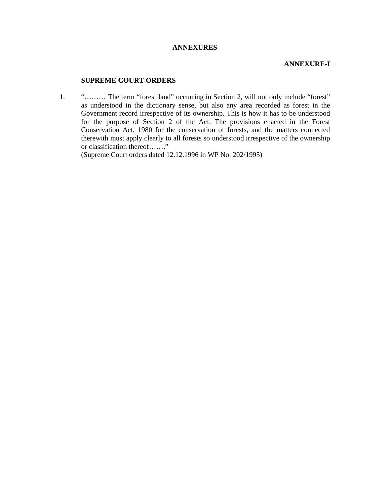### **ANNEXURES**

#### **ANNEXURE-I**

### **SUPREME COURT ORDERS**

1. "……… The term "forest land" occurring in Section 2, will not only include "forest" as understood in the dictionary sense, but also any area recorded as forest in the Government record irrespective of its ownership. This is how it has to be understood for the purpose of Section 2 of the Act. The provisions enacted in the Forest Conservation Act, 1980 for the conservation of forests, and the matters connected therewith must apply clearly to all forests so understood irrespective of the ownership or classification thereof……."

(Supreme Court orders dated 12.12.1996 in WP No. 202/1995)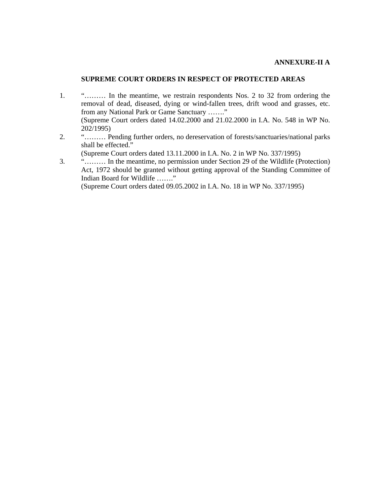### **SUPREME COURT ORDERS IN RESPECT OF PROTECTED AREAS**

- 1. "……… In the meantime, we restrain respondents Nos. 2 to 32 from ordering the removal of dead, diseased, dying or wind-fallen trees, drift wood and grasses, etc. from any National Park or Game Sanctuary ……." (Supreme Court orders dated 14.02.2000 and 21.02.2000 in I.A. No. 548 in WP No. 202/1995)
- 2. "……… Pending further orders, no dereservation of forests/sanctuaries/national parks shall be effected."

(Supreme Court orders dated 13.11.2000 in I.A. No. 2 in WP No. 337/1995)

3. "……… In the meantime, no permission under Section 29 of the Wildlife (Protection) Act, 1972 should be granted without getting approval of the Standing Committee of Indian Board for Wildlife ……."

(Supreme Court orders dated 09.05.2002 in I.A. No. 18 in WP No. 337/1995)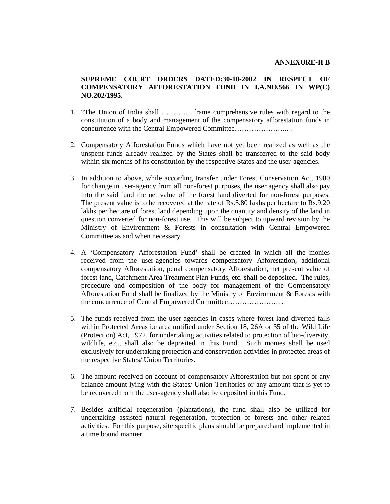#### **ANNEXURE-II B**

### **SUPREME COURT ORDERS DATED:30-10-2002 IN RESPECT OF COMPENSATORY AFFORESTATION FUND IN I.A.NO.566 IN WP(C) NO.202/1995.**

- 1. "The Union of India shall …………..frame comprehensive rules with regard to the constitution of a body and management of the compensatory afforestation funds in concurrence with the Central Empowered Committee………………….. .
- 2. Compensatory Afforestation Funds which have not yet been realized as well as the unspent funds already realized by the States shall be transferred to the said body within six months of its constitution by the respective States and the user-agencies.
- 3. In addition to above, while according transfer under Forest Conservation Act, 1980 for change in user-agency from all non-forest purposes, the user agency shall also pay into the said fund the net value of the forest land diverted for non-forest purposes. The present value is to be recovered at the rate of Rs.5.80 lakhs per hectare to Rs.9.20 lakhs per hectare of forest land depending upon the quantity and density of the land in question converted for non-forest use. This will be subject to upward revision by the Ministry of Environment & Forests in consultation with Central Empowered Committee as and when necessary.
- 4. A 'Compensatory Afforestation Fund' shall be created in which all the monies received from the user-agencies towards compensatory Afforestation, additional compensatory Afforestation, penal compensatory Afforestation, net present value of forest land, Catchment Area Treatment Plan Funds, etc. shall be deposited. The rules, procedure and composition of the body for management of the Compensatory Afforestation Fund shall be finalized by the Ministry of Environment & Forests with the concurrence of Central Empowered Committee…………………. .
- 5. The funds received from the user-agencies in cases where forest land diverted falls within Protected Areas i.e area notified under Section 18, 26A or 35 of the Wild Life (Protection) Act, 1972, for undertaking activities related to protection of bio-diversity, wildlife, etc., shall also be deposited in this Fund. Such monies shall be used exclusively for undertaking protection and conservation activities in protected areas of the respective States/ Union Territories.
- 6. The amount received on account of compensatory Afforestation but not spent or any balance amount lying with the States/ Union Territories or any amount that is yet to be recovered from the user-agency shall also be deposited in this Fund.
- 7. Besides artificial regeneration (plantations), the fund shall also be utilized for undertaking assisted natural regeneration, protection of forests and other related activities. For this purpose, site specific plans should be prepared and implemented in a time bound manner.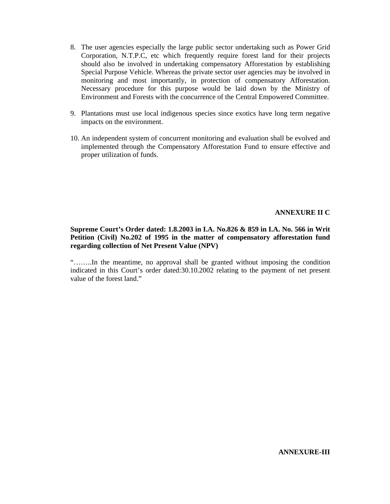- 8. The user agencies especially the large public sector undertaking such as Power Grid Corporation, N.T.P.C, etc which frequently require forest land for their projects should also be involved in undertaking compensatory Afforestation by establishing Special Purpose Vehicle. Whereas the private sector user agencies may be involved in monitoring and most importantly, in protection of compensatory Afforestation. Necessary procedure for this purpose would be laid down by the Ministry of Environment and Forests with the concurrence of the Central Empowered Committee.
- 9. Plantations must use local indigenous species since exotics have long term negative impacts on the environment.
- 10. An independent system of concurrent monitoring and evaluation shall be evolved and implemented through the Compensatory Afforestation Fund to ensure effective and proper utilization of funds.

### **ANNEXURE II C**

**Supreme Court's Order dated: 1.8.2003 in I.A. No.826 & 859 in I.A. No. 566 in Writ Petition (Civil) No.202 of 1995 in the matter of compensatory afforestation fund regarding collection of Net Present Value (NPV)** 

"……..In the meantime, no approval shall be granted without imposing the condition indicated in this Court's order dated:30.10.2002 relating to the payment of net present value of the forest land."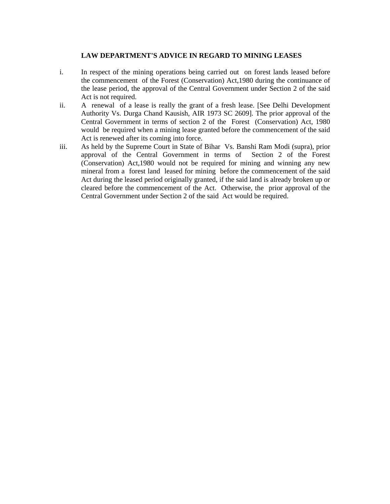### **LAW DEPARTMENT'S ADVICE IN REGARD TO MINING LEASES**

- i. In respect of the mining operations being carried out on forest lands leased before the commencement of the Forest (Conservation) Act,1980 during the continuance of the lease period, the approval of the Central Government under Section 2 of the said Act is not required.
- ii. A renewal of a lease is really the grant of a fresh lease. [See Delhi Development Authority Vs. Durga Chand Kausish, AIR 1973 SC 2609]. The prior approval of the Central Government in terms of section 2 of the Forest (Conservation) Act, 1980 would be required when a mining lease granted before the commencement of the said Act is renewed after its coming into force.
- iii. As held by the Supreme Court in State of Bihar Vs. Banshi Ram Modi (supra), prior approval of the Central Government in terms of Section 2 of the Forest (Conservation) Act,1980 would not be required for mining and winning any new mineral from a forest land leased for mining before the commencement of the said Act during the leased period originally granted, if the said land is already broken up or cleared before the commencement of the Act. Otherwise, the prior approval of the Central Government under Section 2 of the said Act would be required.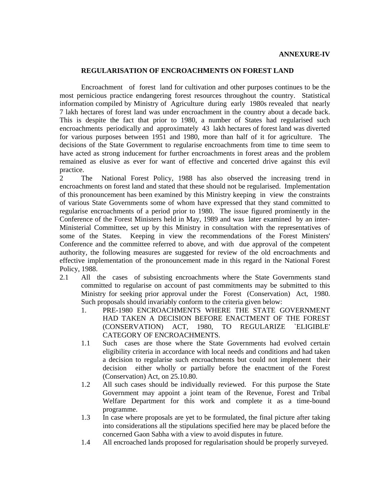#### **REGULARISATION OF ENCROACHMENTS ON FOREST LAND**

 Encroachment of forest land for cultivation and other purposes continues to be the most pernicious practice endangering forest resources throughout the country. Statistical information compiled by Ministry of Agriculture during early 1980s revealed that nearly 7 lakh hectares of forest land was under encroachment in the country about a decade back. This is despite the fact that prior to 1980, a number of States had regularised such encroachments periodically and approximately 43 lakh hectares of forest land was diverted for various purposes between 1951 and 1980, more than half of it for agriculture. The decisions of the State Government to regularise encroachments from time to time seem to have acted as strong inducement for further encroachments in forest areas and the problem remained as elusive as ever for want of effective and concerted drive against this evil practice.

2 The National Forest Policy, 1988 has also observed the increasing trend in encroachments on forest land and stated that these should not be regularised. Implementation of this pronouncement has been examined by this Ministry keeping in view the constraints of various State Governments some of whom have expressed that they stand committed to regularise encroachments of a period prior to 1980. The issue figured prominently in the Conference of the Forest Ministers held in May, 1989 and was later examined by an inter-Ministerial Committee, set up by this Ministry in consultation with the representatives of some of the States. Keeping in view the recommendations of the Forest Ministers' Conference and the committee referred to above, and with due approval of the competent authority, the following measures are suggested for review of the old encroachments and effective implementation of the pronouncement made in this regard in the National Forest Policy, 1988.

- 2.1 All the cases of subsisting encroachments where the State Governments stand committed to regularise on account of past commitments may be submitted to this Ministry for seeking prior approval under the Forest (Conservation) Act, 1980. Such proposals should invariably conform to the criteria given below:
	- 1. PRE-1980 ENCROACHMENTS WHERE THE STATE GOVERNMENT HAD TAKEN A DECISION BEFORE ENACTMENT OF THE FOREST (CONSERVATION) ACT, 1980, TO REGULARIZE `ELIGIBLE' CATEGORY OF ENCROACHMENTS.
	- 1.1 Such cases are those where the State Governments had evolved certain eligibility criteria in accordance with local needs and conditions and had taken a decision to regularise such encroachments but could not implement their decision either wholly or partially before the enactment of the Forest (Conservation) Act, on 25.10.80.
	- 1.2 All such cases should be individually reviewed. For this purpose the State Government may appoint a joint team of the Revenue, Forest and Tribal Welfare Department for this work and complete it as a time-bound programme.
	- 1.3 In case where proposals are yet to be formulated, the final picture after taking into considerations all the stipulations specified here may be placed before the concerned Gaon Sabha with a view to avoid disputes in future.
	- 1.4 All encroached lands proposed for regularisation should be properly surveyed.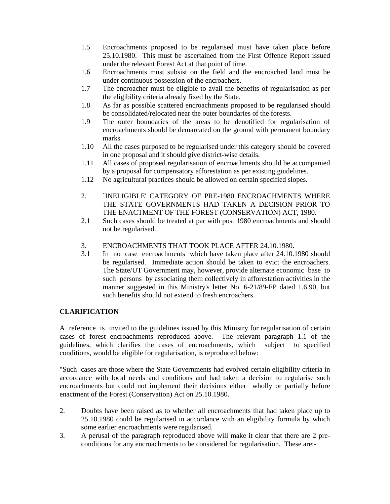- 1.5 Encroachments proposed to be regularised must have taken place before 25.10.1980. This must be ascertained from the First Offence Report issued under the relevant Forest Act at that point of time.
- 1.6 Encroachments must subsist on the field and the encroached land must be under continuous possession of the encroachers.
- 1.7 The encroacher must be eligible to avail the benefits of regularisation as per the eligibility criteria already fixed by the State.
- 1.8 As far as possible scattered encroachments proposed to be regularised should be consolidated/relocated near the outer boundaries of the forests.
- 1.9 The outer boundaries of the areas to be denotified for regularisation of encroachments should be demarcated on the ground with permanent boundary marks.
- 1.10 All the cases purposed to be regularised under this category should be covered in one proposal and it should give district-wise details.
- 1.11 All cases of proposed regularisation of encroachments should be accompanied by a proposal for compensatory afforestation as per existing guidelines.
- 1.12 No agricultural practices should be allowed on certain specified slopes.
- 2. `INELIGIBLE' CATEGORY OF PRE-1980 ENCROACHMENTS WHERE THE STATE GOVERNMENTS HAD TAKEN A DECISION PRIOR TO THE ENACTMENT OF THE FOREST (CONSERVATION) ACT, 1980.
- 2.1 Such cases should be treated at par with post 1980 encroachments and should not be regularised.
- 3. ENCROACHMENTS THAT TOOK PLACE AFTER 24.10.1980.
- 3.1 In no case encroachments which have taken place after 24.10.1980 should be regularised. Immediate action should be taken to evict the encroachers. The State/UT Government may, however, provide alternate economic base to such persons by associating them collectively in afforestation activities in the manner suggested in this Ministry's letter No. 6-21/89-FP dated 1.6.90, but such benefits should not extend to fresh encroachers.

### **CLARIFICATION**

A reference is invited to the guidelines issued by this Ministry for regularisation of certain cases of forest encroachments reproduced above. The relevant paragraph 1.1 of the guidelines, which clarifies the cases of encroachments, which subject to specified conditions, would be eligible for regularisation, is reproduced below:

"Such cases are those where the State Governments had evolved certain eligibility criteria in accordance with local needs and conditions and had taken a decision to regularise such encroachments but could not implement their decisions either wholly or partially before enactment of the Forest (Conservation) Act on 25.10.1980.

- 2. Doubts have been raised as to whether all encroachments that had taken place up to 25.10.1980 could be regularised in accordance with an eligibility formula by which some earlier encroachments were regularised.
- 3. A perusal of the paragraph reproduced above will make it clear that there are 2 preconditions for any encroachments to be considered for regularisation. These are:-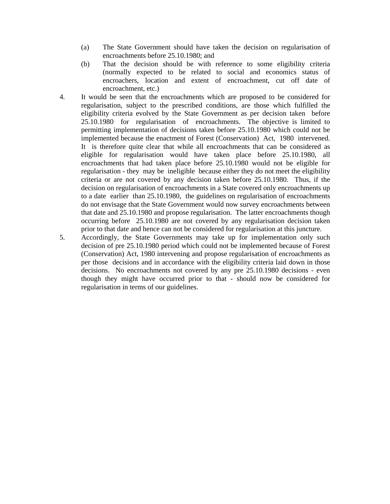- (a) The State Government should have taken the decision on regularisation of encroachments before 25.10.1980; and
- (b) That the decision should be with reference to some eligibility criteria (normally expected to be related to social and economics status of encroachers, location and extent of encroachment, cut off date of encroachment, etc.)
- 4. It would be seen that the encroachments which are proposed to be considered for regularisation, subject to the prescribed conditions, are those which fulfilled the eligibility criteria evolved by the State Government as per decision taken before 25.10.1980 for regularisation of encroachments. The objective is limited to permitting implementation of decisions taken before 25.10.1980 which could not be implemented because the enactment of Forest (Conservation) Act, 1980 intervened. It is therefore quite clear that while all encroachments that can be considered as eligible for regularisation would have taken place before 25.10.1980, all encroachments that had taken place before 25.10.1980 would not be eligible for regularisation - they may be ineligible because either they do not meet the eligibility criteria or are not covered by any decision taken before 25.10.1980. Thus, if the decision on regularisation of encroachments in a State covered only encroachments up to a date earlier than 25.10.1980, the guidelines on regularisation of encroachments do not envisage that the State Government would now survey encroachments between that date and 25.10.1980 and propose regularisation. The latter encroachments though occurring before 25.10.1980 are not covered by any regularisation decision taken prior to that date and hence can not be considered for regularisation at this juncture.
- 5. Accordingly, the State Governments may take up for implementation only such decision of pre 25.10.1980 period which could not be implemented because of Forest (Conservation) Act, 1980 intervening and propose regularisation of encroachments as per those decisions and in accordance with the eligibility criteria laid down in those decisions. No encroachments not covered by any pre 25.10.1980 decisions - even though they might have occurred prior to that - should now be considered for regularisation in terms of our guidelines.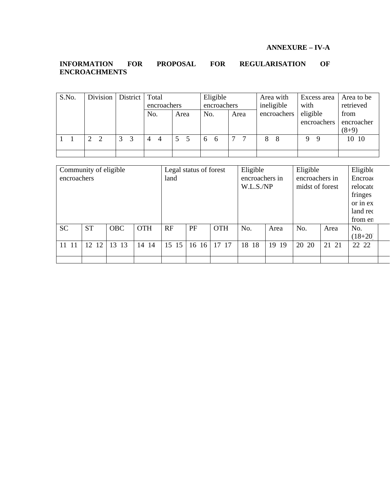# **ANNEXURE – IV-A**

### **INFORMATION FOR PROPOSAL FOR REGULARISATION OF ENCROACHMENTS**

| S.No. | Division   District   Total |   |                     |            | Eligible    |      | Area with   | Excess area | Area to be |
|-------|-----------------------------|---|---------------------|------------|-------------|------|-------------|-------------|------------|
|       |                             |   | encroachers         |            | encroachers |      | ineligible  | with        | retrieved  |
|       |                             |   | No.                 | Area       | No.         | Area | encroachers | eligible    | from       |
|       |                             |   |                     |            |             |      |             | encroachers | encroacher |
|       |                             |   |                     |            |             |      |             |             | $(8+9)$    |
|       | 2<br>2                      | 3 | $\overline{4}$<br>4 | $5\quad 5$ | - 6         |      | -8<br>8     | 9<br>- 9    | 10 10      |
|       |                             |   |                     |            |             |      |             |             |            |
|       |                             |   |                     |            |             |      |             |             |            |

| Community of eligible<br>encroachers |           |            |            | Legal status of forest<br>land |       |            | Eligible<br>encroachers in<br>W.L.S./NP |          | Eligible<br>encroachers in<br>midst of forest |       | Eligible<br>Encroad<br>relocate<br>fringes<br>or in ex<br>land rec<br>from en |  |
|--------------------------------------|-----------|------------|------------|--------------------------------|-------|------------|-----------------------------------------|----------|-----------------------------------------------|-------|-------------------------------------------------------------------------------|--|
| <b>SC</b>                            | <b>ST</b> | <b>OBC</b> | <b>OTH</b> | RF                             | PF    | <b>OTH</b> | No.                                     | Area     | No.                                           | Area  | No.<br>$(18+20)$                                                              |  |
| 11 11                                | 12 12     | 13 13      | 14<br>14   | 15 15                          | 16 16 | 17 17      | 18<br>18                                | 19<br>19 | 20 20                                         | 21 21 | 22 22                                                                         |  |
|                                      |           |            |            |                                |       |            |                                         |          |                                               |       |                                                                               |  |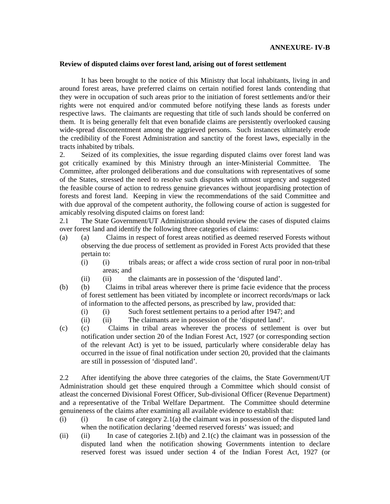#### **Review of disputed claims over forest land, arising out of forest settlement**

 It has been brought to the notice of this Ministry that local inhabitants, living in and around forest areas, have preferred claims on certain notified forest lands contending that they were in occupation of such areas prior to the initiation of forest settlements and/or their rights were not enquired and/or commuted before notifying these lands as forests under respective laws. The claimants are requesting that title of such lands should be conferred on them. It is being generally felt that even bonafide claims are persistently overlooked causing wide-spread discontentment among the aggrieved persons. Such instances ultimately erode the credibility of the Forest Administration and sanctity of the forest laws, especially in the tracts inhabited by tribals.

2. Seized of its complexities, the issue regarding disputed claims over forest land was got critically examined by this Ministry through an inter-Ministerial Committee. The Committee, after prolonged deliberations and due consultations with representatives of some of the States, stressed the need to resolve such disputes with utmost urgency and suggested the feasible course of action to redress genuine grievances without jeopardising protection of forests and forest land. Keeping in view the recommendations of the said Committee and with due approval of the competent authority, the following course of action is suggested for amicably resolving disputed claims on forest land:

2.1 The State Government/UT Administration should review the cases of disputed claims over forest land and identify the following three categories of claims:

- (a) (a) Claims in respect of forest areas notified as deemed reserved Forests without observing the due process of settlement as provided in Forest Acts provided that these pertain to:
	- (i) (i) tribals areas; or affect a wide cross section of rural poor in non-tribal areas; and
	- (ii) (ii) the claimants are in possession of the 'disputed land'.
- (b) (b) Claims in tribal areas wherever there is prime facie evidence that the process of forest settlement has been vitiated by incomplete or incorrect records/maps or lack of information to the affected persons, as prescribed by law, provided that:
	- (i) (i) Such forest settlement pertains to a period after 1947; and
	- (ii) (ii) The claimants are in possession of the 'disputed land'.
- (c) (c) Claims in tribal areas wherever the process of settlement is over but notification under section 20 of the Indian Forest Act, 1927 (or corresponding section of the relevant Act) is yet to be issued, particularly where considerable delay has occurred in the issue of final notification under section 20, provided that the claimants are still in possession of 'disputed land'.

2.2 After identifying the above three categories of the claims, the State Government/UT Administration should get these enquired through a Committee which should consist of atleast the concerned Divisional Forest Officer, Sub-divisional Officer (Revenue Department) and a representative of the Tribal Welfare Department. The Committee should determine genuineness of the claims after examining all available evidence to establish that:

- $(i)$  In case of category 2.1(a) the claimant was in possession of the disputed land when the notification declaring 'deemed reserved forests' was issued; and
- (ii) (ii) In case of categories 2.1(b) and 2.1(c) the claimant was in possession of the disputed land when the notification showing Governments intention to declare reserved forest was issued under section 4 of the Indian Forest Act, 1927 (or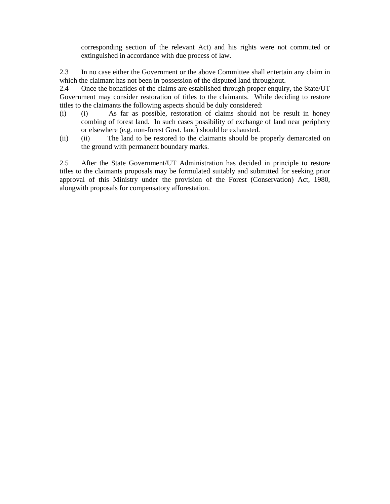corresponding section of the relevant Act) and his rights were not commuted or extinguished in accordance with due process of law.

2.3 In no case either the Government or the above Committee shall entertain any claim in which the claimant has not been in possession of the disputed land throughout.

2.4 Once the bonafides of the claims are established through proper enquiry, the State/UT Government may consider restoration of titles to the claimants. While deciding to restore titles to the claimants the following aspects should be duly considered:

- (i) (i) As far as possible, restoration of claims should not be result in honey combing of forest land. In such cases possibility of exchange of land near periphery or elsewhere (e.g. non-forest Govt. land) should be exhausted.
- (ii) (ii) The land to be restored to the claimants should be properly demarcated on the ground with permanent boundary marks.

2.5 After the State Government/UT Administration has decided in principle to restore titles to the claimants proposals may be formulated suitably and submitted for seeking prior approval of this Ministry under the provision of the Forest (Conservation) Act, 1980, alongwith proposals for compensatory afforestation.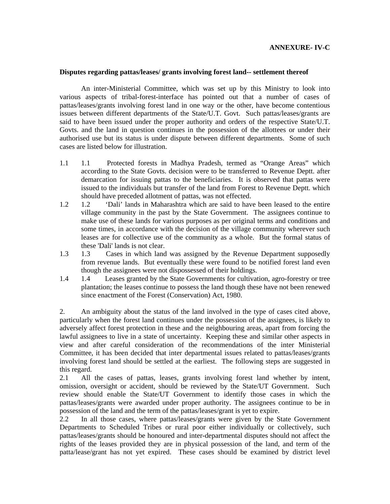### **ANNEXURE- IV-C**

#### **Disputes regarding pattas/leases/ grants involving forest land-- settlement thereof**

 An inter-Ministerial Committee, which was set up by this Ministry to look into various aspects of tribal-forest-interface has pointed out that a number of cases of pattas/leases/grants involving forest land in one way or the other, have become contentious issues between different departments of the State/U.T. Govt. Such pattas/leases/grants are said to have been issued under the proper authority and orders of the respective State/U.T. Govts. and the land in question continues in the possession of the allottees or under their authorised use but its status is under dispute between different departments. Some of such cases are listed below for illustration.

- 1.1 1.1 Protected forests in Madhya Pradesh, termed as "Orange Areas" which according to the State Govts. decision were to be transferred to Revenue Deptt. after demarcation for issuing pattas to the beneficiaries. It is observed that pattas were issued to the individuals but transfer of the land from Forest to Revenue Deptt. which should have preceded allotment of pattas, was not effected.
- 1.2 1.2 'Dali' lands in Maharashtra which are said to have been leased to the entire village community in the past by the State Government. The assignees continue to make use of these lands for various purposes as per original terms and conditions and some times, in accordance with the decision of the village community wherever such leases are for collective use of the community as a whole. But the formal status of these 'Dali' lands is not clear.
- 1.3 1.3 Cases in which land was assigned by the Revenue Department supposedly from revenue lands. But eventually these were found to be notified forest land even though the assignees were not dispossessed of their holdings.
- 1.4 1.4 Leases granted by the State Governments for cultivation, agro-forestry or tree plantation; the leases continue to possess the land though these have not been renewed since enactment of the Forest (Conservation) Act, 1980.

2. An ambiguity about the status of the land involved in the type of cases cited above, particularly when the forest land continues under the possession of the assignees, is likely to adversely affect forest protection in these and the neighbouring areas, apart from forcing the lawful assignees to live in a state of uncertainty. Keeping these and similar other aspects in view and after careful consideration of the recommendations of the inter Ministerial Committee, it has been decided that inter departmental issues related to pattas/leases/grants involving forest land should be settled at the earliest. The following steps are suggested in this regard.

2.1 All the cases of pattas, leases, grants involving forest land whether by intent, omission, oversight or accident, should be reviewed by the State/UT Government. Such review should enable the State/UT Government to identify those cases in which the pattas/leases/grants were awarded under proper authority. The assignees continue to be in possession of the land and the term of the pattas/leases/grant is yet to expire.

2.2 In all those cases, where pattas/leases/grants were given by the State Government Departments to Scheduled Tribes or rural poor either individually or collectively, such pattas/leases/grants should be honoured and inter-departmental disputes should not affect the rights of the leases provided they are in physical possession of the land, and term of the patta/lease/grant has not yet expired. These cases should be examined by district level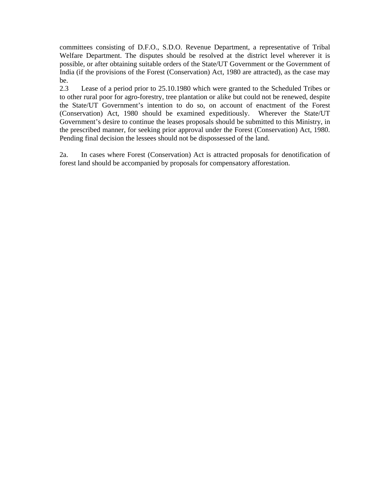committees consisting of D.F.O., S.D.O. Revenue Department, a representative of Tribal Welfare Department. The disputes should be resolved at the district level wherever it is possible, or after obtaining suitable orders of the State/UT Government or the Government of India (if the provisions of the Forest (Conservation) Act, 1980 are attracted), as the case may be.

2.3 Lease of a period prior to 25.10.1980 which were granted to the Scheduled Tribes or to other rural poor for agro-forestry, tree plantation or alike but could not be renewed, despite the State/UT Government's intention to do so, on account of enactment of the Forest (Conservation) Act, 1980 should be examined expeditiously. Wherever the State/UT Government's desire to continue the leases proposals should be submitted to this Ministry, in the prescribed manner, for seeking prior approval under the Forest (Conservation) Act, 1980. Pending final decision the lessees should not be dispossessed of the land.

2a. In cases where Forest (Conservation) Act is attracted proposals for denotification of forest land should be accompanied by proposals for compensatory afforestation.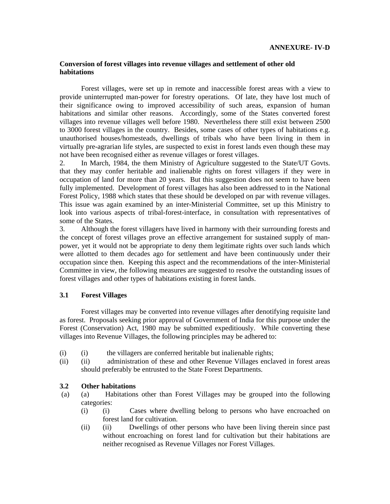#### **Conversion of forest villages into revenue villages and settlement of other old habitations**

 Forest villages, were set up in remote and inaccessible forest areas with a view to provide uninterrupted man-power for forestry operations. Of late, they have lost much of their significance owing to improved accessibility of such areas, expansion of human habitations and similar other reasons. Accordingly, some of the States converted forest villages into revenue villages well before 1980. Nevertheless there still exist between 2500 to 3000 forest villages in the country. Besides, some cases of other types of habitations e.g. unauthorised houses/homesteads, dwellings of tribals who have been living in them in virtually pre-agrarian life styles, are suspected to exist in forest lands even though these may not have been recognised either as revenue villages or forest villages.

2. In March, 1984, the them Ministry of Agriculture suggested to the State/UT Govts. that they may confer heritable and inalienable rights on forest villagers if they were in occupation of land for more than 20 years. But this suggestion does not seem to have been fully implemented. Development of forest villages has also been addressed to in the National Forest Policy, 1988 which states that these should be developed on par with revenue villages. This issue was again examined by an inter-Ministerial Committee, set up this Ministry to look into various aspects of tribal-forest-interface, in consultation with representatives of some of the States.

3. Although the forest villagers have lived in harmony with their surrounding forests and the concept of forest villages prove an effective arrangement for sustained supply of manpower, yet it would not be appropriate to deny them legitimate rights over such lands which were allotted to them decades ago for settlement and have been continuously under their occupation since then. Keeping this aspect and the recommendations of the inter-Ministerial Committee in view, the following measures are suggested to resolve the outstanding issues of forest villages and other types of habitations existing in forest lands.

#### **3.1 Forest Villages**

 Forest villages may be converted into revenue villages after denotifying requisite land as forest. Proposals seeking prior approval of Government of India for this purpose under the Forest (Conservation) Act, 1980 may be submitted expeditiously. While converting these villages into Revenue Villages, the following principles may be adhered to:

- (i) (i) the villagers are conferred heritable but inalienable rights;
- (ii) (ii) administration of these and other Revenue Villages enclaved in forest areas should preferably be entrusted to the State Forest Departments.

#### **3.2 Other habitations**

- (a) (a) Habitations other than Forest Villages may be grouped into the following categories:
	- (i) (i) Cases where dwelling belong to persons who have encroached on forest land for cultivation.
	- (ii) (ii) Dwellings of other persons who have been living therein since past without encroaching on forest land for cultivation but their habitations are neither recognised as Revenue Villages nor Forest Villages.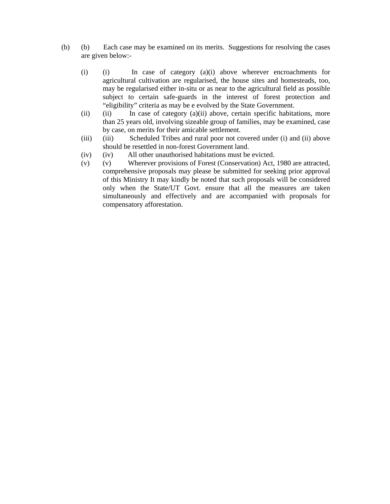- (b) (b) Each case may be examined on its merits. Suggestions for resolving the cases are given below:-
	- (i) (i) In case of category (a)(i) above wherever encroachments for agricultural cultivation are regularised, the house sites and homesteads, too, may be regularised either in-situ or as near to the agricultural field as possible subject to certain safe-guards in the interest of forest protection and "eligibility" criteria as may be e evolved by the State Government.
	- (ii) (ii) In case of category (a)(ii) above, certain specific habitations, more than 25 years old, involving sizeable group of families, may be examined, case by case, on merits for their amicable settlement.
	- (iii) (iii) Scheduled Tribes and rural poor not covered under (i) and (ii) above should be resettled in non-forest Government land.
	- (iv) (iv) All other unauthorised habitations must be evicted.
	- (v) (v) Wherever provisions of Forest (Conservation) Act, 1980 are attracted, comprehensive proposals may please be submitted for seeking prior approval of this Ministry It may kindly be noted that such proposals will be considered only when the State/UT Govt. ensure that all the measures are taken simultaneously and effectively and are accompanied with proposals for compensatory afforestation.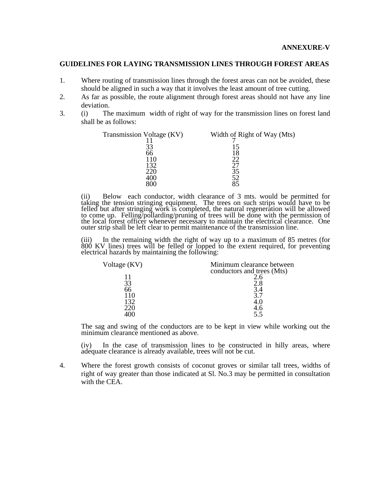#### **GUIDELINES FOR LAYING TRANSMISSION LINES THROUGH FOREST AREAS**

- 1. Where routing of transmission lines through the forest areas can not be avoided, these should be aligned in such a way that it involves the least amount of tree cutting.
- 2. As far as possible, the route alignment through forest areas should not have any line deviation.
- 3. (i) The maximum width of right of way for the transmission lines on forest land shall be as follows:

| Transmission Voltage (KV)<br>Width of Right of Way (Mts) |  |
|----------------------------------------------------------|--|
|                                                          |  |
| 33                                                       |  |
| 66                                                       |  |
|                                                          |  |
|                                                          |  |
|                                                          |  |
|                                                          |  |
|                                                          |  |

(ii) Below each conductor, width clearance of 3 mts. would be permitted for taking the tension stringing equipment. The trees on such strips would have to be felled but after stringing work is completed, the natural regene outer strip shall be left clear to permit maintenance of the transmission line.

(iii) In the remaining width the right of way up to a maximum of 85 metres (for 800 KV lines) trees will be felled or lopped to the extent required, for preventing electrical hazards by maintaining the following:

| Voltage (KV) | Minimum clearance between<br>conductors and trees (Mts) |
|--------------|---------------------------------------------------------|
|              |                                                         |
| 33           | 2.8                                                     |
| 66           | 3.4                                                     |
|              | 37                                                      |
| 32           |                                                         |
|              |                                                         |
|              |                                                         |

The sag and swing of the conductors are to be kept in view while working out the minimum clearance mentioned as above.

(iv) In the case of transmission lines to be constructed in hilly areas, where adequate clearance is already available, trees will not be cut.

4. Where the forest growth consists of coconut groves or similar tall trees, widths of right of way greater than those indicated at Sl. No.3 may be permitted in consultation with the CEA.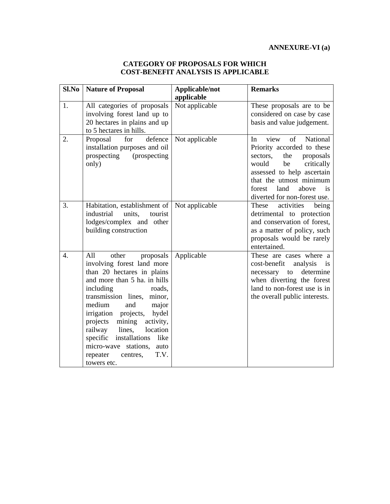## **CATEGORY OF PROPOSALS FOR WHICH COST-BENEFIT ANALYSIS IS APPLICABLE**

|    | <b>Sl.No</b>   Nature of Proposal                                                                                                                                                                                                                                                                                                                                                                                                   | Applicable/not | <b>Remarks</b>                                                                                                                                                                                                                                    |
|----|-------------------------------------------------------------------------------------------------------------------------------------------------------------------------------------------------------------------------------------------------------------------------------------------------------------------------------------------------------------------------------------------------------------------------------------|----------------|---------------------------------------------------------------------------------------------------------------------------------------------------------------------------------------------------------------------------------------------------|
|    |                                                                                                                                                                                                                                                                                                                                                                                                                                     | applicable     |                                                                                                                                                                                                                                                   |
| 1. | All categories of proposals<br>involving forest land up to<br>20 hectares in plains and up<br>to 5 hectares in hills.                                                                                                                                                                                                                                                                                                               | Not applicable | These proposals are to be<br>considered on case by case<br>basis and value judgement.                                                                                                                                                             |
| 2. | Proposal<br>defence<br>for<br>installation purposes and oil<br>prospecting<br>(prospecting)<br>only)                                                                                                                                                                                                                                                                                                                                | Not applicable | view<br>of<br>National<br>In<br>Priority accorded to these<br>sectors,<br>the<br>proposals<br>would<br>be<br>critically<br>assessed to help ascertain<br>that the utmost minimum<br>land<br>above<br>forest<br>is<br>diverted for non-forest use. |
| 3. | Habitation, establishment of<br>industrial<br>units.<br>tourist<br>lodges/complex and other<br>building construction                                                                                                                                                                                                                                                                                                                | Not applicable | activities<br>These<br>being<br>detrimental to protection<br>and conservation of forest,<br>as a matter of policy, such<br>proposals would be rarely<br>entertained.                                                                              |
| 4. | All<br>other<br>proposals<br>involving forest land more<br>than 20 hectares in plains<br>and more than 5 ha. in hills<br>including<br>roads,<br>transmission lines,<br>minor,<br>medium<br>and<br>major<br>irrigation projects,<br>hydel<br>projects<br>mining<br>activity,<br>railway<br>lines,<br>location<br>specific<br>installations<br>like<br>micro-wave<br>stations,<br>auto<br>T.V.<br>repeater<br>centres,<br>towers etc. | Applicable     | These are cases where a<br>cost-benefit<br>analysis<br>is<br>determine<br>necessary to<br>when diverting the forest<br>land to non-forest use is in<br>the overall public interests.                                                              |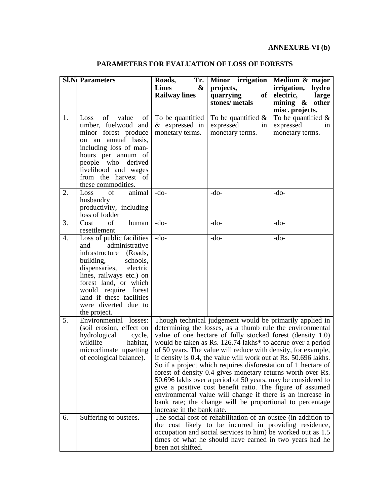|    | <b>Sl.N</b> Parameters                                                                                                                                                                                                                                                              | Tr.<br>Roads,                                                                                                                                                                                                                                                                                                                                                                                                                                                                                                                                                                                                                                                                                                                                                                                               | Minor irrigation                                                                                                                                                                                                                                   | Medium & major                                                                  |  |  |  |
|----|-------------------------------------------------------------------------------------------------------------------------------------------------------------------------------------------------------------------------------------------------------------------------------------|-------------------------------------------------------------------------------------------------------------------------------------------------------------------------------------------------------------------------------------------------------------------------------------------------------------------------------------------------------------------------------------------------------------------------------------------------------------------------------------------------------------------------------------------------------------------------------------------------------------------------------------------------------------------------------------------------------------------------------------------------------------------------------------------------------------|----------------------------------------------------------------------------------------------------------------------------------------------------------------------------------------------------------------------------------------------------|---------------------------------------------------------------------------------|--|--|--|
|    |                                                                                                                                                                                                                                                                                     | <b>Lines</b><br>&<br><b>Railway lines</b>                                                                                                                                                                                                                                                                                                                                                                                                                                                                                                                                                                                                                                                                                                                                                                   | projects,<br>quarrying<br>of<br>stones/ metals                                                                                                                                                                                                     | irrigation, hydro<br>electric,<br>large<br>mining $\&$ other<br>misc. projects. |  |  |  |
| 1. | of<br>value<br>Loss<br>οf<br>timber, fuelwood and<br>minor forest produce<br>on an annual basis,<br>including loss of man-<br>hours per annum of<br>people who derived<br>livelihood and wages<br>from the harvest of<br>these commodities.                                         | To be quantified<br>$&$ expressed in<br>monetary terms.                                                                                                                                                                                                                                                                                                                                                                                                                                                                                                                                                                                                                                                                                                                                                     | To be quantified $\&$<br>expressed<br>in<br>monetary terms.                                                                                                                                                                                        | To be quantified $\&$<br>expressed<br>in<br>monetary terms.                     |  |  |  |
| 2. | of<br>animal<br>Loss<br>husbandry<br>productivity, including<br>loss of fodder                                                                                                                                                                                                      | $-do-$                                                                                                                                                                                                                                                                                                                                                                                                                                                                                                                                                                                                                                                                                                                                                                                                      | $-do-$                                                                                                                                                                                                                                             | $-do-$                                                                          |  |  |  |
| 3. | Cost<br>of<br>human<br>resettlement                                                                                                                                                                                                                                                 | $-do-$                                                                                                                                                                                                                                                                                                                                                                                                                                                                                                                                                                                                                                                                                                                                                                                                      | $-do-$                                                                                                                                                                                                                                             | $-do-$                                                                          |  |  |  |
| 4. | Loss of public facilities<br>administrative<br>and<br>infrastructure<br>(Roads,<br>building,<br>schools,<br>dispensaries, electric<br>lines, railways etc.) on<br>forest land, or which<br>would require forest<br>land if these facilities<br>were diverted due to<br>the project. | $-do-$                                                                                                                                                                                                                                                                                                                                                                                                                                                                                                                                                                                                                                                                                                                                                                                                      | $-do-$                                                                                                                                                                                                                                             | $-do-$                                                                          |  |  |  |
| 5. | Environmental<br>losses:<br>(soil erosion, effect on<br>hydrological<br>cycle,<br>wildlife<br>habitat,<br>microclimate upsetting<br>of ecological balance).                                                                                                                         | Though technical judgement would be primarily applied in<br>determining the losses, as a thumb rule the environmental<br>value of one hectare of fully stocked forest (density 1.0)<br>would be taken as Rs. 126.74 lakhs* to accrue over a period<br>of 50 years. The value will reduce with density, for example,<br>if density is 0.4, the value will work out at Rs. 50.696 lakhs.<br>So if a project which requires disforestation of 1 hectare of<br>forest of density 0.4 gives monetary returns worth over Rs.<br>50.696 lakhs over a period of 50 years, may be considered to<br>give a positive cost benefit ratio. The figure of assumed<br>environmental value will change if there is an increase in<br>bank rate; the change will be proportional to percentage<br>increase in the bank rate. |                                                                                                                                                                                                                                                    |                                                                                 |  |  |  |
| 6. | Suffering to oustees.                                                                                                                                                                                                                                                               | been not shifted.                                                                                                                                                                                                                                                                                                                                                                                                                                                                                                                                                                                                                                                                                                                                                                                           | The social cost of rehabilitation of an oustee (in addition to<br>the cost likely to be incurred in providing residence,<br>occupation and social services to him) be worked out as 1.5<br>times of what he should have earned in two years had he |                                                                                 |  |  |  |

# **PARAMETERS FOR EVALUATION OF LOSS OF FORESTS**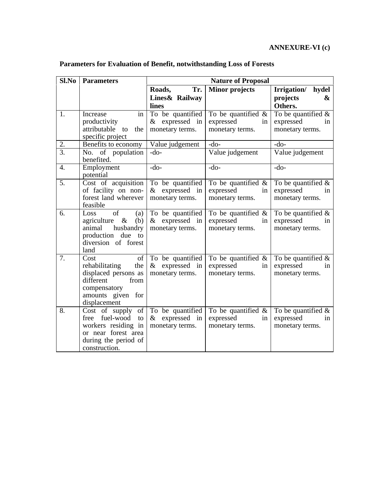|                  | <b>Sl.No</b>   Parameters                                                                                                                    | <b>Nature of Proposal</b>                               |                                                                                 |                                                             |  |  |  |  |  |
|------------------|----------------------------------------------------------------------------------------------------------------------------------------------|---------------------------------------------------------|---------------------------------------------------------------------------------|-------------------------------------------------------------|--|--|--|--|--|
|                  |                                                                                                                                              | Tr.<br>Roads,<br>Lines& Railway<br>lines                | <b>Minor projects</b>                                                           | Irrigation/ hydel<br>projects<br>&<br>Others.               |  |  |  |  |  |
| 1.               | Increase<br>in<br>productivity<br>attributable to the<br>specific project                                                                    | To be quantified<br>& expressed in<br>monetary terms.   | To be quantified $\&$<br>expressed<br>in<br>monetary terms.                     | To be quantified $\&$<br>expressed<br>in<br>monetary terms. |  |  |  |  |  |
| $\overline{2}$ . | Benefits to economy                                                                                                                          | Value judgement                                         | $-do-$                                                                          | $-do-$                                                      |  |  |  |  |  |
| $\overline{3}$ . | No. of population<br>benefited.                                                                                                              | $-do-$                                                  | Value judgement                                                                 | Value judgement                                             |  |  |  |  |  |
| 4.               | Employment<br>potential                                                                                                                      | $-do-$                                                  | $-do-$                                                                          | $-do-$                                                      |  |  |  |  |  |
| 5.               | Cost of acquisition<br>of facility on non-<br>forest land wherever<br>feasible                                                               | To be quantified<br>& expressed in<br>monetary terms.   | To be quantified $\&$<br>expressed<br>in<br>monetary terms.                     | To be quantified $\&$<br>expressed<br>in<br>monetary terms. |  |  |  |  |  |
| 6.               | $\overline{\text{of}}$<br>(a)<br>Loss.<br>(b)<br>agriculture $\&$<br>husbandry<br>animal<br>production due to<br>diversion of forest<br>land | To be quantified<br>$&$ expressed in<br>monetary terms. | To be quantified $\overline{\mathscr{K}}$<br>expressed<br>in<br>monetary terms. | To be quantified $\&$<br>expressed<br>in<br>monetary terms. |  |  |  |  |  |
| 7.               | of<br>Cost<br>rehabilitating the<br>displaced persons as<br>different<br>from<br>compensatory<br>amounts given for<br>displacement           | To be quantified<br>& expressed in<br>monetary terms.   | To be quantified $\&$<br>expressed<br>in<br>monetary terms.                     | To be quantified $\&$<br>expressed<br>in<br>monetary terms. |  |  |  |  |  |
| 8.               | Cost of supply of<br>free fuel-wood<br>to<br>workers residing in<br>or near forest area<br>during the period of<br>construction.             | To be quantified<br>& expressed in<br>monetary terms.   | To be quantified $\&$<br>expressed<br>in<br>monetary terms.                     | To be quantified $\&$<br>expressed<br>in<br>monetary terms. |  |  |  |  |  |

#### **Parameters for Evaluation of Benefit, notwithstanding Loss of Forests**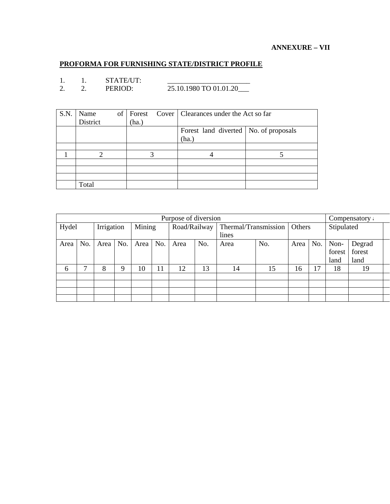# **PROFORMA FOR FURNISHING STATE/DISTRICT PROFILE**

1. 1. STATE/UT:<br>2. 2. PERIOD: 25.10.1980 TO 01.01.20\_\_\_

| S.N. | Name     | of | Forest | Cover   Clearances under the Act so far |  |  |  |
|------|----------|----|--------|-----------------------------------------|--|--|--|
|      | District |    | (ha.)  |                                         |  |  |  |
|      |          |    |        | Forest land diverted   No. of proposals |  |  |  |
|      |          |    |        | (ha.)                                   |  |  |  |
|      |          |    |        |                                         |  |  |  |
|      |          |    |        |                                         |  |  |  |
|      |          |    |        |                                         |  |  |  |
|      |          |    |        |                                         |  |  |  |
|      |          |    |        |                                         |  |  |  |
|      | Total    |    |        |                                         |  |  |  |

| Purpose of diversion |              |      |        |      |              |       |                      |      |        |      |            | Compensatory: |        |  |
|----------------------|--------------|------|--------|------|--------------|-------|----------------------|------|--------|------|------------|---------------|--------|--|
| Irrigation<br>Hydel  |              |      | Mining |      | Road/Railway |       | Thermal/Transmission |      | Others |      | Stipulated |               |        |  |
|                      |              |      |        |      |              | lines |                      |      |        |      |            |               |        |  |
| Area                 | No.          | Area | No.    | Area | No.          | Area  | No.                  | Area | No.    | Area | No.        | Non-          | Degrad |  |
|                      |              |      |        |      |              |       |                      |      |        |      |            | forest        | forest |  |
|                      |              |      |        |      |              |       |                      |      |        |      |            | land          | land   |  |
| 6                    | $\mathbf{r}$ | 8    | Q      | 10   | 11           | 12    | 13                   | 14   | 15     | 16   | 17         | 18            | 19     |  |
|                      |              |      |        |      |              |       |                      |      |        |      |            |               |        |  |
|                      |              |      |        |      |              |       |                      |      |        |      |            |               |        |  |
|                      |              |      |        |      |              |       |                      |      |        |      |            |               |        |  |
|                      |              |      |        |      |              |       |                      |      |        |      |            |               |        |  |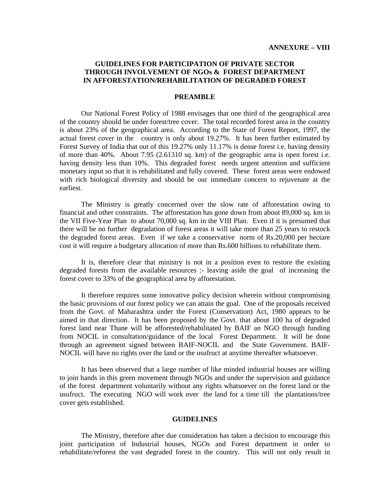### **GUIDELINES FOR PARTICIPATION OF PRIVATE SECTOR THROUGH INVOLVEMENT OF NGOs & FOREST DEPARTMENT IN AFFORESTATION/REHABILITATION OF DEGRADED FOREST**

#### **PREAMBLE**

 Our National Forest Policy of 1988 envisages that one third of the geographical area of the country should be under forest/tree cover. The total recorded forest area in the country is about 23% of the geographical area. According to the State of Forest Report, 1997, the actual forest cover in the country is only about 19.27%. It has been further estimated by Forest Survey of India that out of this 19.27% only 11.17% is dense forest i.e. having density of more than 40%. About 7.95 (2.61310 sq. km) of the geographic area is open forest i.e. having density less than 10%. This degraded forest needs urgent attention and sufficient monetary input so that it is rehabilitated and fully covered. These forest areas were endowed with rich biological diversity and should be our immediate concern to rejuvenate at the earliest.

The Ministry is greatly concerned over the slow rate of afforestation owing to financial and other constraints. The afforestation has gone down from about 89,000 sq. km in the VII Five-Year Plan to about 70,000 sq. km in the VIII Plan. Even if it is presumed that there will be no further degradation of forest areas it will take more than 25 years to restock the degraded forest areas. Even if we take a conservative norm of Rs.20,000 per hectare cost it will require a budgetary allocation of more than Rs.600 billions to rehabilitate them.

It is, therefore clear that ministry is not in a position even to restore the existing degraded forests from the available resources :- leaving aside the goal of increasing the forest cover to 33% of the geographical area by afforestation.

It therefore requires some innovative policy decision wherein without compromising the basic provisions of our forest policy we can attain the goal. One of the proposals received from the Govt. of Maharashtra under the Forest (Conservation) Act, 1980 appears to be aimed in that direction. It has been proposed by the Govt. that about 100 ha of degraded forest land near Thane will be afforested/rehabilitated by BAIF an NGO through funding from NOCIL in consultation/guidance of the local Forest Department. It will be done through an agreement signed between BAIF-NOCIL and the State Government. BAIF-NOCIL will have no rights over the land or the usufruct at anytime thereafter whatsoever.

It has been observed that a large number of like minded industrial houses are willing to join hands in this green movement through NGOs and under the supervision and guidance of the forest department voluntarily without any rights whatsoever on the forest land or the usufruct. The executing NGO will work over the land for a time till the plantations/tree cover gets established.

#### **GUIDELINES**

The Ministry, therefore after due consideration has taken a decision to encourage this joint participation of Industrial houses, NGOs and Forest department in order to rehabilitate/reforest the vast degraded forest in the country. This will not only result in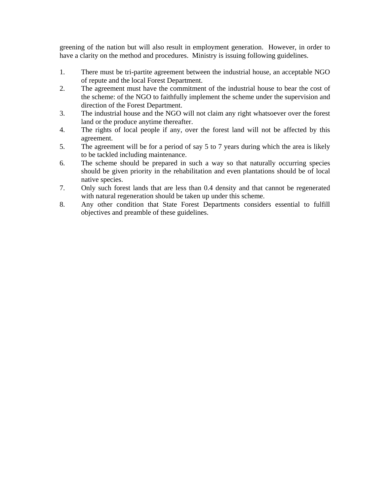greening of the nation but will also result in employment generation. However, in order to have a clarity on the method and procedures. Ministry is issuing following guidelines.

- 1. There must be tri-partite agreement between the industrial house, an acceptable NGO of repute and the local Forest Department.
- 2. The agreement must have the commitment of the industrial house to bear the cost of the scheme: of the NGO to faithfully implement the scheme under the supervision and direction of the Forest Department.
- 3. The industrial house and the NGO will not claim any right whatsoever over the forest land or the produce anytime thereafter.
- 4. The rights of local people if any, over the forest land will not be affected by this agreement.
- 5. The agreement will be for a period of say 5 to 7 years during which the area is likely to be tackled including maintenance.
- 6. The scheme should be prepared in such a way so that naturally occurring species should be given priority in the rehabilitation and even plantations should be of local native species.
- 7. Only such forest lands that are less than 0.4 density and that cannot be regenerated with natural regeneration should be taken up under this scheme.
- 8. Any other condition that State Forest Departments considers essential to fulfill objectives and preamble of these guidelines.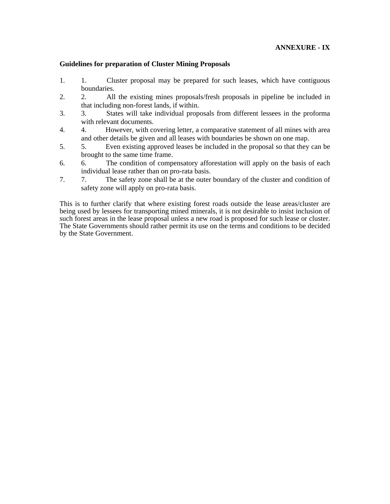### **ANNEXURE - IX**

#### **Guidelines for preparation of Cluster Mining Proposals**

- 1. 1. Cluster proposal may be prepared for such leases, which have contiguous boundaries.
- 2. 2. All the existing mines proposals/fresh proposals in pipeline be included in that including non-forest lands, if within.
- 3. 3. States will take individual proposals from different lessees in the proforma with relevant documents.
- 4. 4. However, with covering letter, a comparative statement of all mines with area and other details be given and all leases with boundaries be shown on one map.
- 5. 5. Even existing approved leases be included in the proposal so that they can be brought to the same time frame.
- 6. 6. The condition of compensatory afforestation will apply on the basis of each individual lease rather than on pro-rata basis.
- 7. 7. The safety zone shall be at the outer boundary of the cluster and condition of safety zone will apply on pro-rata basis.

This is to further clarify that where existing forest roads outside the lease areas/cluster are being used by lessees for transporting mined minerals, it is not desirable to insist inclusion of such forest areas in the lease proposal unless a new road is proposed for such lease or cluster. The State Governments should rather permit its use on the terms and conditions to be decided by the State Government.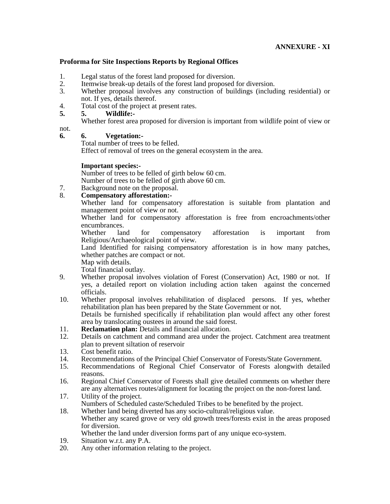#### **Proforma for Site Inspections Reports by Regional Offices**

- 1. Legal status of the forest land proposed for diversion.
- 2. Itemwise break-up details of the forest land proposed for diversion.<br>3. Whether proposal involves any construction of buildings (include
- 3. Whether proposal involves any construction of buildings (including residential) or not. If yes, details thereof.
- 4. Total cost of the project at present rates.<br>5. Wildlife:-
- **5. 5. Wildlife:-**

Whether forest area proposed for diversion is important from wildlife point of view or

not.

### **6. 6. Vegetation:-**

Total number of trees to be felled.

Effect of removal of trees on the general ecosystem in the area.

#### **Important species:-**

Number of trees to be felled of girth below 60 cm. Number of trees to be felled of girth above 60 cm.

7. Background note on the proposal.

#### 8. **Compensatory afforestation:-**

Whether land for compensatory afforestation is suitable from plantation and management point of view or not.

Whether land for compensatory afforestation is free from encroachments/other encumbrances.

Whether land for compensatory afforestation is important from Religious/Archaeological point of view.

Land Identified for raising compensatory afforestation is in how many patches, whether patches are compact or not.

Map with details.

Total financial outlay.

- 9. Whether proposal involves violation of Forest (Conservation) Act, 1980 or not. If yes, a detailed report on violation including action taken against the concerned officials.
- 10. Whether proposal involves rehabilitation of displaced persons. If yes, whether rehabilitation plan has been prepared by the State Government or not.

Details be furnished specifically if rehabilitation plan would affect any other forest area by translocating oustees in around the said forest.

- 11. **Reclamation plan:** Details and financial allocation.
- 12. Details on catchment and command area under the project. Catchment area treatment plan to prevent siltation of reservoir
- 13. Cost benefit ratio.
- 14. Recommendations of the Principal Chief Conservator of Forests/State Government.
- 15. Recommendations of Regional Chief Conservator of Forests alongwith detailed reasons.
- 16. Regional Chief Conservator of Forests shall give detailed comments on whether there are any alternatives routes/alignment for locating the project on the non-forest land.
- 17. Utility of the project. Numbers of Scheduled caste/Scheduled Tribes to be benefited by the project.
- 18. Whether land being diverted has any socio-cultural/religious value. Whether any scared grove or very old growth trees/forests exist in the areas proposed for diversion.

Whether the land under diversion forms part of any unique eco-system.

- 19. Situation w.r.t. any P.A.<br>20. Any other information re
- Any other information relating to the project.